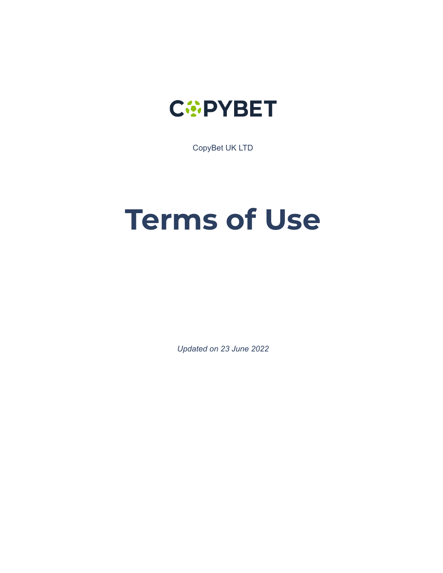

CopyBet UK LTD

# **Terms of Use**

*Updated on 23 June 2022*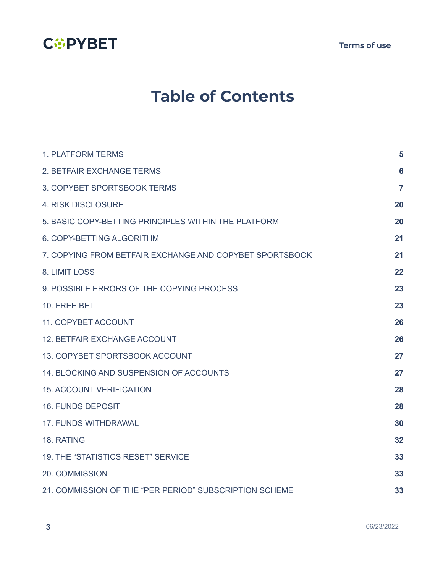

**Terms of use**

# **Table of Contents**

| <b>1. PLATFORM TERMS</b>                                | 5              |
|---------------------------------------------------------|----------------|
| 2. BETFAIR EXCHANGE TERMS                               | 6              |
| 3. COPYBET SPORTSBOOK TERMS                             | $\overline{7}$ |
| <b>4. RISK DISCLOSURE</b>                               | 20             |
| 5. BASIC COPY-BETTING PRINCIPLES WITHIN THE PLATFORM    | 20             |
| 6. COPY-BETTING ALGORITHM                               | 21             |
| 7. COPYING FROM BETFAIR EXCHANGE AND COPYBET SPORTSBOOK | 21             |
| 8. LIMIT LOSS                                           | 22             |
| 9. POSSIBLE ERRORS OF THE COPYING PROCESS               | 23             |
| 10. FREE BET                                            | 23             |
| 11. COPYBET ACCOUNT                                     | 26             |
| <b>12. BETFAIR EXCHANGE ACCOUNT</b>                     | 26             |
| 13. COPYBET SPORTSBOOK ACCOUNT                          | 27             |
| 14. BLOCKING AND SUSPENSION OF ACCOUNTS                 | 27             |
| <b>15. ACCOUNT VERIFICATION</b>                         | 28             |
| <b>16. FUNDS DEPOSIT</b>                                | 28             |
| <b>17. FUNDS WITHDRAWAL</b>                             | 30             |
| 18. RATING                                              | 32             |
| <b>19. THE "STATISTICS RESET" SERVICE</b>               | 33             |
| 20. COMMISSION                                          | 33             |
| 21. COMMISSION OF THE "PER PERIOD" SUBSCRIPTION SCHEME  | 33             |

**3** 06/23/2022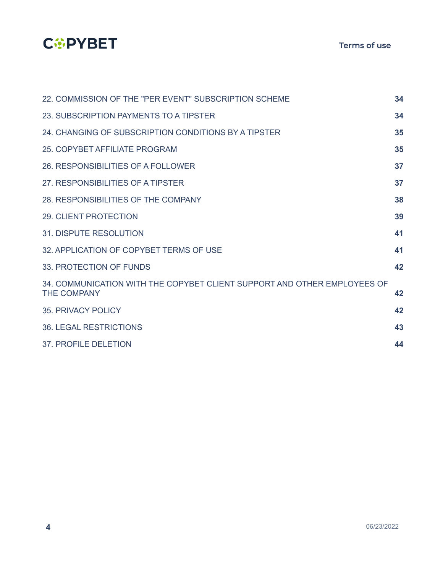## **COPYBET**

| 22. COMMISSION OF THE "PER EVENT" SUBSCRIPTION SCHEME                                          | 34 |
|------------------------------------------------------------------------------------------------|----|
| 23. SUBSCRIPTION PAYMENTS TO A TIPSTER                                                         | 34 |
| 24. CHANGING OF SUBSCRIPTION CONDITIONS BY A TIPSTER                                           | 35 |
| 25. COPYBET AFFILIATE PROGRAM                                                                  | 35 |
| 26. RESPONSIBILITIES OF A FOLLOWER                                                             | 37 |
| 27. RESPONSIBILITIES OF A TIPSTER                                                              | 37 |
| 28. RESPONSIBILITIES OF THE COMPANY                                                            | 38 |
| <b>29. CLIENT PROTECTION</b>                                                                   | 39 |
| <b>31. DISPUTE RESOLUTION</b>                                                                  | 41 |
| 32. APPLICATION OF COPYBET TERMS OF USE                                                        | 41 |
| 33. PROTECTION OF FUNDS                                                                        | 42 |
| 34. COMMUNICATION WITH THE COPYBET CLIENT SUPPORT AND OTHER EMPLOYEES OF<br><b>THE COMPANY</b> | 42 |
| 35. PRIVACY POLICY                                                                             | 42 |
| <b>36. LEGAL RESTRICTIONS</b>                                                                  | 43 |
| 37. PROFILE DELETION                                                                           | 44 |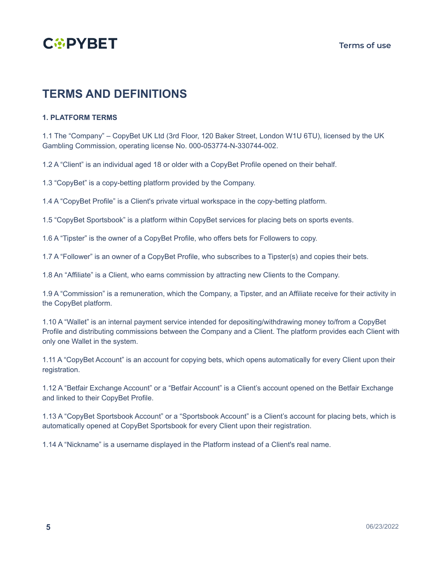

### **TERMS AND DEFINITIONS**

#### <span id="page-3-0"></span>**1. PLATFORM TERMS**

1.1 The "Company" – CopyBet UK Ltd (3rd Floor, 120 Baker Street, London W1U 6TU), licensed by the UK Gambling Commission, operating license No. 000-053774-N-330744-002.

1.2 A "Client" is an individual aged 18 or older with a CopyBet Profile opened on their behalf.

1.3 "CopyBet" is a copy-betting platform provided by the Company.

1.4 A "CopyBet Profile" is a Client's private virtual workspace in the copy-betting platform.

1.5 "CopyBet Sportsbook" is a platform within CopyBet services for placing bets on sports events.

1.6 A "Tipster" is the owner of a CopyBet Profile, who offers bets for Followers to copy.

1.7 A "Follower" is an owner of a CopyBet Profile, who subscribes to a Tipster(s) and copies their bets.

1.8 An "Affiliate" is a Client, who earns commission by attracting new Clients to the Company.

1.9 A "Commission" is a remuneration, which the Company, a Tipster, and an Affiliate receive for their activity in the CopyBet platform.

1.10 A "Wallet" is an internal payment service intended for depositing/withdrawing money to/from a CopyBet Profile and distributing commissions between the Company and a Client. The platform provides each Client with only one Wallet in the system.

1.11 A "CopyBet Account" is an account for copying bets, which opens automatically for every Client upon their registration.

1.12 A "Betfair Exchange Account" or a "Betfair Account" is a Client's account opened on the Betfair Exchange and linked to their CopyBet Profile.

1.13 A "CopyBet Sportsbook Account" or a "Sportsbook Account" is a Client's account for placing bets, which is automatically opened at CopyBet Sportsbook for every Client upon their registration.

1.14 A "Nickname" is a username displayed in the Platform instead of a Client's real name.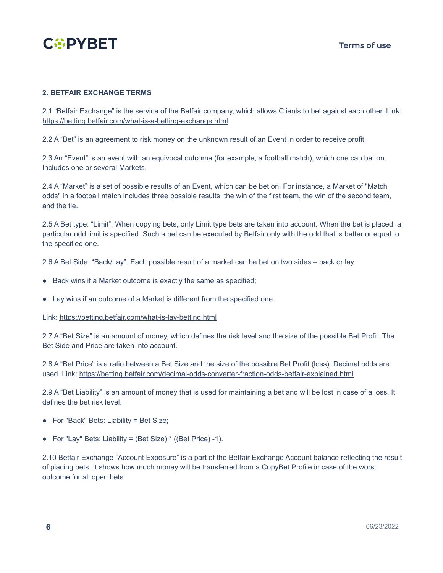

#### <span id="page-4-0"></span>**2. BETFAIR EXCHANGE TERMS**

2.1 "Betfair Exchange" is the service of the Betfair company, which allows Clients to bet against each other. Link[:](https://betting.betfair.com/what-is-a-betting-exchange.html) <https://betting.betfair.com/what-is-a-betting-exchange.html>

2.2 A "Bet" is an agreement to risk money on the unknown result of an Event in order to receive profit.

2.3 An "Event" is an event with an equivocal outcome (for example, a football match), which one can bet on. Includes one or several Markets.

2.4 A "Market" is a set of possible results of an Event, which can be bet on. For instance, a Market of "Match odds" in a football match includes three possible results: the win of the first team, the win of the second team, and the tie.

2.5 A Bet type: "Limit". When copying bets, only Limit type bets are taken into account. When the bet is placed, a particular odd limit is specified. Such a bet can be executed by Betfair only with the odd that is better or equal to the specified one.

2.6 A Bet Side: "Back/Lay". Each possible result of a market can be bet on two sides – back or lay.

- Back wins if a Market outcome is exactly the same as specified;
- Lay wins if an outcome of a Market is different from the specified one.

Link: <https://betting.betfair.com/what-is-lay-betting.html>

2.7 A "Bet Size" is an amount of money, which defines the risk level and the size of the possible Bet Profit. The Bet Side and Price are taken into account.

2.8 A "Bet Price" is a ratio between a Bet Size and the size of the possible Bet Profit (loss). Decimal odds are used. Link: <https://betting.betfair.com/decimal-odds-converter-fraction-odds-betfair-explained.html>

2.9 A "Bet Liability" is an amount of money that is used for maintaining a bet and will be lost in case of a loss. It defines the bet risk level.

- For "Back" Bets: Liability = Bet Size;
- For "Lay" Bets: Liability = (Bet Size)  $*(Bet Price) 1)$ .

2.10 Betfair Exchange "Account Exposure" is a part of the Betfair Exchange Account balance reflecting the result of placing bets. It shows how much money will be transferred from a CopyBet Profile in case of the worst outcome for all open bets.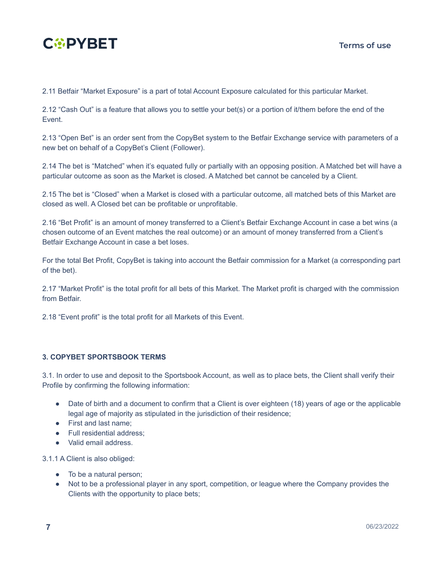

2.11 Betfair "Market Exposure" is a part of total Account Exposure calculated for this particular Market.

2.12 "Cash Out" is a feature that allows you to settle your bet(s) or a portion of it/them before the end of the Event.

2.13 "Open Bet" is an order sent from the CopyBet system to the Betfair Exchange service with parameters of a new bet on behalf of a CopyBet's Client (Follower).

2.14 The bet is "Matched" when it's equated fully or partially with an opposing position. A Matched bet will have a particular outcome as soon as the Market is closed. A Matched bet cannot be canceled by a Client.

2.15 The bet is "Closed" when a Market is closed with a particular outcome, all matched bets of this Market are closed as well. A Closed bet can be profitable or unprofitable.

2.16 "Bet Profit" is an amount of money transferred to a Client's Betfair Exchange Account in case a bet wins (a chosen outcome of an Event matches the real outcome) or an amount of money transferred from a Client's Betfair Exchange Account in case a bet loses.

For the total Bet Profit, CopyBet is taking into account the Betfair commission for a Market (a corresponding part of the bet).

2.17 "Market Profit" is the total profit for all bets of this Market. The Market profit is charged with the commission from Betfair.

2.18 "Event profit" is the total profit for all Markets of this Event.

#### <span id="page-5-0"></span>**3. COPYBET SPORTSBOOK TERMS**

3.1. In order to use and deposit to the Sportsbook Account, as well as to place bets, the Client shall verify their Profile by confirming the following information:

- Date of birth and a document to confirm that a Client is over eighteen (18) years of age or the applicable legal age of majority as stipulated in the jurisdiction of their residence;
- First and last name;
- Full residential address:
- Valid email address.

3.1.1 A Client is also obliged:

- To be a natural person;
- Not to be a professional player in any sport, competition, or league where the Company provides the Clients with the opportunity to place bets;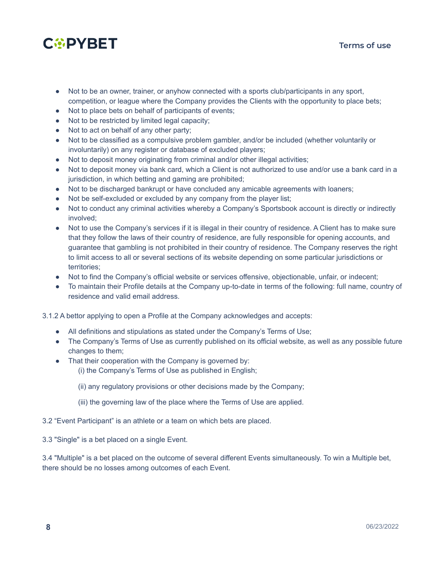

- Not to be an owner, trainer, or anyhow connected with a sports club/participants in any sport, competition, or league where the Company provides the Clients with the opportunity to place bets;
- Not to place bets on behalf of participants of events;
- Not to be restricted by limited legal capacity;
- Not to act on behalf of any other party;
- Not to be classified as a compulsive problem gambler, and/or be included (whether voluntarily or involuntarily) on any register or database of excluded players;
- Not to deposit money originating from criminal and/or other illegal activities;
- Not to deposit money via bank card, which a Client is not authorized to use and/or use a bank card in a jurisdiction, in which betting and gaming are prohibited;
- Not to be discharged bankrupt or have concluded any amicable agreements with loaners;
- Not be self-excluded or excluded by any company from the player list;
- Not to conduct any criminal activities whereby a Company's Sportsbook account is directly or indirectly involved;
- Not to use the Company's services if it is illegal in their country of residence. A Client has to make sure that they follow the laws of their country of residence, are fully responsible for opening accounts, and guarantee that gambling is not prohibited in their country of residence. The Company reserves the right to limit access to all or several sections of its website depending on some particular jurisdictions or territories;
- Not to find the Company's official website or services offensive, objectionable, unfair, or indecent;
- To maintain their Profile details at the Company up-to-date in terms of the following: full name, country of residence and valid email address.

3.1.2 A bettor applying to open a Profile at the Company acknowledges and accepts:

- All definitions and stipulations as stated under the Company's Terms of Use;
- The Company's Terms of Use as currently published on its official website, as well as any possible future changes to them;
- That their cooperation with the Company is governed by:
	- (i) the Company's Terms of Use as published in English;
	- (ii) any regulatory provisions or other decisions made by the Company;
	- (iii) the governing law of the place where the Terms of Use are applied.
- 3.2 "Event Participant" is an athlete or a team on which bets are placed.

3.3 "Single" is a bet placed on a single Event.

3.4 "Multiple" is a bet placed on the outcome of several different Events simultaneously. To win a Multiple bet, there should be no losses among outcomes of each Event.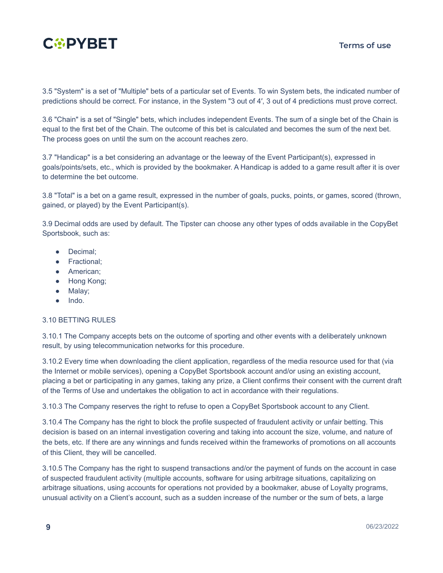

3.5 "System" is a set of "Multiple" bets of a particular set of Events. To win System bets, the indicated number of predictions should be correct. For instance, in the System "3 out of 4′, 3 out of 4 predictions must prove correct.

3.6 "Chain" is a set of "Single" bets, which includes independent Events. The sum of a single bet of the Chain is equal to the first bet of the Chain. The outcome of this bet is calculated and becomes the sum of the next bet. The process goes on until the sum on the account reaches zero.

3.7 "Handicap" is a bet considering an advantage or the leeway of the Event Participant(s), expressed in goals/points/sets, etc., which is provided by the bookmaker. A Handicap is added to a game result after it is over to determine the bet outcome.

3.8 "Total" is a bet on a game result, expressed in the number of goals, pucks, points, or games, scored (thrown, gained, or played) by the Event Participant(s).

3.9 Decimal odds are used by default. The Tipster can choose any other types of odds available in the CopyBet Sportsbook, such as:

- Decimal;
- Fractional;
- American;
- Hong Kong;
- Malay;
- Indo.

#### 3.10 BETTING RULES

3.10.1 The Company accepts bets on the outcome of sporting and other events with a deliberately unknown result, by using telecommunication networks for this procedure.

3.10.2 Every time when downloading the client application, regardless of the media resource used for that (via the Internet or mobile services), opening a CopyBet Sportsbook account and/or using an existing account, placing a bet or participating in any games, taking any prize, a Client confirms their consent with the current draft of the Terms of Use and undertakes the obligation to act in accordance with their regulations.

3.10.3 The Company reserves the right to refuse to open a CopyBet Sportsbook account to any Client.

3.10.4 The Company has the right to block the profile suspected of fraudulent activity or unfair betting. This decision is based on an internal investigation covering and taking into account the size, volume, and nature of the bets, etc. If there are any winnings and funds received within the frameworks of promotions on all accounts of this Client, they will be cancelled.

3.10.5 The Company has the right to suspend transactions and/or the payment of funds on the account in case of suspected fraudulent activity (multiple accounts, software for using arbitrage situations, capitalizing on arbitrage situations, using accounts for operations not provided by a bookmaker, abuse of Loyalty programs, unusual activity on a Client's account, such as a sudden increase of the number or the sum of bets, a large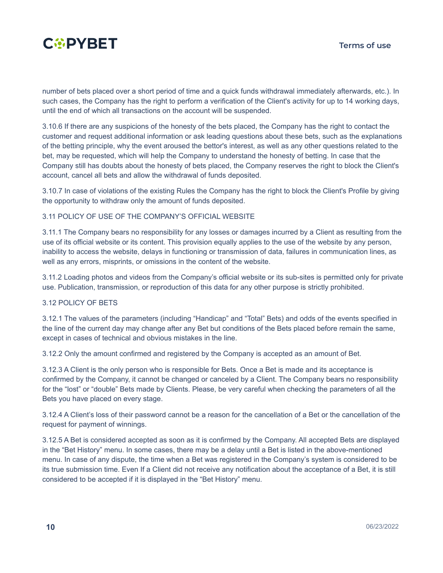

number of bets placed over a short period of time and a quick funds withdrawal immediately afterwards, etc.). In such cases, the Company has the right to perform a verification of the Client's activity for up to 14 working days, until the end of which all transactions on the account will be suspended.

3.10.6 If there are any suspicions of the honesty of the bets placed, the Company has the right to contact the customer and request additional information or ask leading questions about these bets, such as the explanations of the betting principle, why the event aroused the bettor's interest, as well as any other questions related to the bet, may be requested, which will help the Company to understand the honesty of betting. In case that the Company still has doubts about the honesty of bets placed, the Company reserves the right to block the Client's account, cancel all bets and allow the withdrawal of funds deposited.

3.10.7 In case of violations of the existing Rules the Company has the right to block the Client's Profile by giving the opportunity to withdraw only the amount of funds deposited.

#### 3.11 POLICY OF USE OF THE COMPANY'S OFFICIAL WEBSITE

3.11.1 The Company bears no responsibility for any losses or damages incurred by a Client as resulting from the use of its official website or its content. This provision equally applies to the use of the website by any person, inability to access the website, delays in functioning or transmission of data, failures in communication lines, as well as any errors, misprints, or omissions in the content of the website.

3.11.2 Loading photos and videos from the Company's official website or its sub-sites is permitted only for private use. Publication, transmission, or reproduction of this data for any other purpose is strictly prohibited.

#### 3.12 POLICY OF BETS

3.12.1 The values of the parameters (including "Handicap" and "Total" Bets) and odds of the events specified in the line of the current day may change after any Bet but conditions of the Bets placed before remain the same, except in cases of technical and obvious mistakes in the line.

3.12.2 Only the amount confirmed and registered by the Company is accepted as an amount of Bet.

3.12.3 A Client is the only person who is responsible for Bets. Once a Bet is made and its acceptance is confirmed by the Company, it cannot be changed or canceled by a Client. The Company bears no responsibility for the "lost" or "double" Bets made by Clients. Please, be very careful when checking the parameters of all the Bets you have placed on every stage.

3.12.4 A Client's loss of their password cannot be a reason for the cancellation of a Bet or the cancellation of the request for payment of winnings.

3.12.5 A Bet is considered accepted as soon as it is confirmed by the Company. All accepted Bets are displayed in the "Bet History" menu. In some cases, there may be a delay until a Bet is listed in the above-mentioned menu. In case of any dispute, the time when a Bet was registered in the Company's system is considered to be its true submission time. Even If a Client did not receive any notification about the acceptance of a Bet, it is still considered to be accepted if it is displayed in the "Bet History" menu.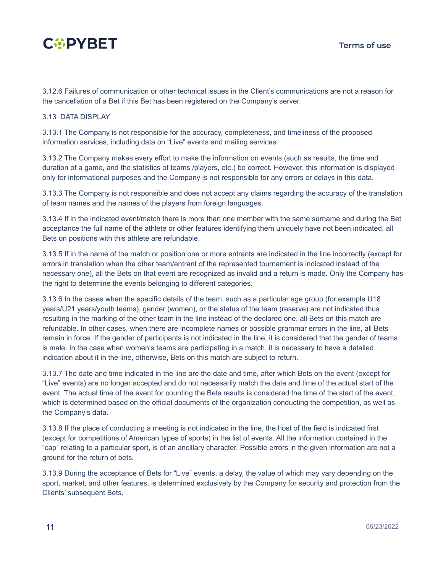

3.12.6 Failures of communication or other technical issues in the Client's communications are not a reason for the cancellation of a Bet if this Bet has been registered on the Company's server.

#### 3.13 DATA DISPLAY

3.13.1 The Company is not responsible for the accuracy, completeness, and timeliness of the proposed information services, including data on "Live" events and mailing services.

3.13.2 The Company makes every effort to make the information on events (such as results, the time and duration of a game, and the statistics of teams /players, etc.) be correct. However, this information is displayed only for informational purposes and the Company is not responsible for any errors or delays in this data.

3.13.3 The Company is not responsible and does not accept any claims regarding the accuracy of the translation of team names and the names of the players from foreign languages.

3.13.4 If in the indicated event/match there is more than one member with the same surname and during the Bet acceptance the full name of the athlete or other features identifying them uniquely have not been indicated, all Bets on positions with this athlete are refundable.

3.13.5 If in the name of the match or position one or more entrants are indicated in the line incorrectly (except for errors in translation when the other team/entrant of the represented tournament is indicated instead of the necessary one), all the Bets on that event are recognized as invalid and a return is made. Only the Company has the right to determine the events belonging to different categories.

3.13.6 In the cases when the specific details of the team, such as a particular age group (for example U18 years/U21 years/youth teams), gender (women), or the status of the team (reserve) are not indicated thus resulting in the marking of the other team in the line instead of the declared one, all Bets on this match are refundable. In other cases, when there are incomplete names or possible grammar errors in the line, all Bets remain in force. If the gender of participants is not indicated in the line, it is considered that the gender of teams is male. In the case when women's teams are participating in a match, it is necessary to have a detailed indication about it in the line, otherwise, Bets on this match are subject to return.

3.13.7 The date and time indicated in the line are the date and time, after which Bets on the event (except for "Live" events) are no longer accepted and do not necessarily match the date and time of the actual start of the event. The actual time of the event for counting the Bets results is considered the time of the start of the event, which is determined based on the official documents of the organization conducting the competition, as well as the Company's data.

3.13.8 If the place of conducting a meeting is not indicated in the line, the host of the field is indicated first (except for competitions of American types of sports) in the list of events. All the information contained in the "cap" relating to a particular sport, is of an ancillary character. Possible errors in the given information are not a ground for the return of bets.

3.13.9 During the acceptance of Bets for "Live" events, a delay, the value of which may vary depending on the sport, market, and other features, is determined exclusively by the Company for security and protection from the Clients' subsequent Bets.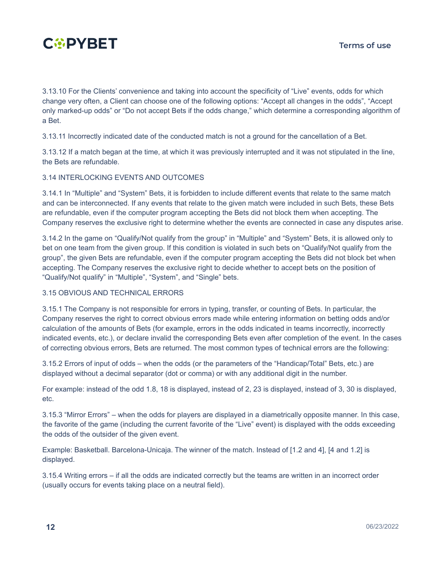

3.13.10 For the Clients' convenience and taking into account the specificity of "Live" events, odds for which change very often, a Client can choose one of the following options: "Accept all changes in the odds", "Accept only marked-up odds" or "Do not accept Bets if the odds change," which determine a corresponding algorithm of a Bet.

3.13.11 Incorrectly indicated date of the conducted match is not a ground for the cancellation of a Bet.

3.13.12 If a match began at the time, at which it was previously interrupted and it was not stipulated in the line, the Bets are refundable.

#### 3.14 INTERLOCKING EVENTS AND OUTCOMES

3.14.1 In "Multiple" and "System" Bets, it is forbidden to include different events that relate to the same match and can be interconnected. If any events that relate to the given match were included in such Bets, these Bets are refundable, even if the computer program accepting the Bets did not block them when accepting. The Company reserves the exclusive right to determine whether the events are connected in case any disputes arise.

3.14.2 In the game on "Qualify/Not qualify from the group" in "Multiple" and "System" Bets, it is allowed only to bet on one team from the given group. If this condition is violated in such bets on "Qualify/Not qualify from the group", the given Bets are refundable, even if the computer program accepting the Bets did not block bet when accepting. The Company reserves the exclusive right to decide whether to accept bets on the position of "Qualify/Not qualify" in "Multiple", "System", and "Single" bets.

#### 3.15 OBVIOUS AND TECHNICAL ERRORS

3.15.1 The Company is not responsible for errors in typing, transfer, or counting of Bets. In particular, the Company reserves the right to correct obvious errors made while entering information on betting odds and/or calculation of the amounts of Bets (for example, errors in the odds indicated in teams incorrectly, incorrectly indicated events, etc.), or declare invalid the corresponding Bets even after completion of the event. In the cases of correcting obvious errors, Bets are returned. The most common types of technical errors are the following:

3.15.2 Errors of input of odds – when the odds (or the parameters of the "Handicap/Total" Bets, etc.) are displayed without a decimal separator (dot or comma) or with any additional digit in the number.

For example: instead of the odd 1.8, 18 is displayed, instead of 2, 23 is displayed, instead of 3, 30 is displayed, etc.

3.15.3 "Mirror Errors" – when the odds for players are displayed in a diametrically opposite manner. In this case, the favorite of the game (including the current favorite of the "Live" event) is displayed with the odds exceeding the odds of the outsider of the given event.

Example: Basketball. Barcelona-Unicaja. The winner of the match. Instead of [1.2 and 4], [4 and 1.2] is displayed.

3.15.4 Writing errors – if all the odds are indicated correctly but the teams are written in an incorrect order (usually occurs for events taking place on a neutral field).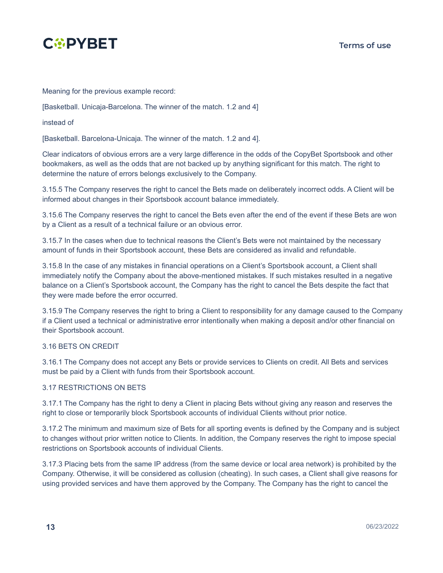

Meaning for the previous example record:

[Basketball. Unicaja-Barcelona. The winner of the match. 1.2 and 4]

instead of

[Basketball. Barcelona-Unicaja. The winner of the match. 1.2 and 4].

Clear indicators of obvious errors are a very large difference in the odds of the CopyBet Sportsbook and other bookmakers, as well as the odds that are not backed up by anything significant for this match. The right to determine the nature of errors belongs exclusively to the Company.

3.15.5 The Company reserves the right to cancel the Bets made on deliberately incorrect odds. A Client will be informed about changes in their Sportsbook account balance immediately.

3.15.6 The Company reserves the right to cancel the Bets even after the end of the event if these Bets are won by a Client as a result of a technical failure or an obvious error.

3.15.7 In the cases when due to technical reasons the Client's Bets were not maintained by the necessary amount of funds in their Sportsbook account, these Bets are considered as invalid and refundable.

3.15.8 In the case of any mistakes in financial operations on a Client's Sportsbook account, a Client shall immediately notify the Company about the above-mentioned mistakes. If such mistakes resulted in a negative balance on a Client's Sportsbook account, the Company has the right to cancel the Bets despite the fact that they were made before the error occurred.

3.15.9 The Company reserves the right to bring a Client to responsibility for any damage caused to the Company if a Client used a technical or administrative error intentionally when making a deposit and/or other financial on their Sportsbook account.

#### 3.16 BETS ON CREDIT

3.16.1 The Company does not accept any Bets or provide services to Clients on credit. All Bets and services must be paid by a Client with funds from their Sportsbook account.

#### 3.17 RESTRICTIONS ON BETS

3.17.1 The Company has the right to deny a Client in placing Bets without giving any reason and reserves the right to close or temporarily block Sportsbook accounts of individual Clients without prior notice.

3.17.2 The minimum and maximum size of Bets for all sporting events is defined by the Company and is subject to changes without prior written notice to Clients. In addition, the Company reserves the right to impose special restrictions on Sportsbook accounts of individual Clients.

3.17.3 Placing bets from the same IP address (from the same device or local area network) is prohibited by the Company. Otherwise, it will be considered as collusion (cheating). In such cases, a Client shall give reasons for using provided services and have them approved by the Company. The Company has the right to cancel the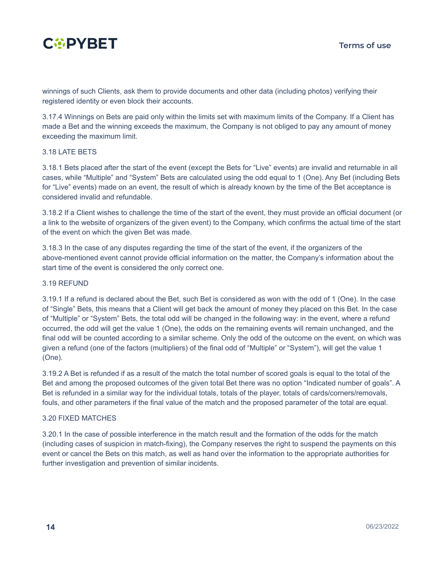

winnings of such Clients, ask them to provide documents and other data (including photos) verifying their registered identity or even block their accounts.

3.17.4 Winnings on Bets are paid only within the limits set with maximum limits of the Company. If a Client has made a Bet and the winning exceeds the maximum, the Company is not obliged to pay any amount of money exceeding the maximum limit.

#### 3.18 LATE BETS

3.18.1 Bets placed after the start of the event (except the Bets for "Live" events) are invalid and returnable in all cases, while "Multiple" and "System" Bets are calculated using the odd equal to 1 (One). Any Bet (including Bets for "Live" events) made on an event, the result of which is already known by the time of the Bet acceptance is considered invalid and refundable.

3.18.2 If a Client wishes to challenge the time of the start of the event, they must provide an official document (or a link to the website of organizers of the given event) to the Company, which confirms the actual time of the start of the event on which the given Bet was made.

3.18.3 In the case of any disputes regarding the time of the start of the event, if the organizers of the above-mentioned event cannot provide official information on the matter, the Company's information about the start time of the event is considered the only correct one.

#### 3.19 REFUND

3.19.1 If a refund is declared about the Bet, such Bet is considered as won with the odd of 1 (One). In the case of "Single" Bets, this means that a Client will get back the amount of money they placed on this Bet. In the case of "Multiple" or "System" Bets, the total odd will be changed in the following way: in the event, where a refund occurred, the odd will get the value 1 (One), the odds on the remaining events will remain unchanged, and the final odd will be counted according to a similar scheme. Only the odd of the outcome on the event, on which was given a refund (one of the factors (multipliers) of the final odd of "Multiple" or "System"), will get the value 1 (One).

3.19.2 A Bet is refunded if as a result of the match the total number of scored goals is equal to the total of the Bet and among the proposed outcomes of the given total Bet there was no option "Indicated number of goals". A Bet is refunded in a similar way for the individual totals, totals of the player, totals of cards/corners/removals, fouls, and other parameters if the final value of the match and the proposed parameter of the total are equal.

#### 3.20 FIXED MATCHES

3.20.1 In the case of possible interference in the match result and the formation of the odds for the match (including cases of suspicion in match-fixing), the Company reserves the right to suspend the payments on this event or cancel the Bets on this match, as well as hand over the information to the appropriate authorities for further investigation and prevention of similar incidents.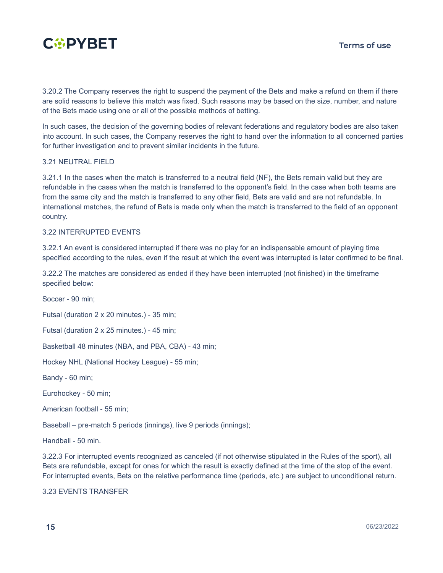

3.20.2 The Company reserves the right to suspend the payment of the Bets and make a refund on them if there are solid reasons to believe this match was fixed. Such reasons may be based on the size, number, and nature of the Bets made using one or all of the possible methods of betting.

In such cases, the decision of the governing bodies of relevant federations and regulatory bodies are also taken into account. In such cases, the Company reserves the right to hand over the information to all concerned parties for further investigation and to prevent similar incidents in the future.

#### 3.21 NEUTRAL FIELD

3.21.1 In the cases when the match is transferred to a neutral field (NF), the Bets remain valid but they are refundable in the cases when the match is transferred to the opponent's field. In the case when both teams are from the same city and the match is transferred to any other field, Bets are valid and are not refundable. In international matches, the refund of Bets is made only when the match is transferred to the field of an opponent country.

#### 3.22 INTERRUPTED EVENTS

3.22.1 An event is considered interrupted if there was no play for an indispensable amount of playing time specified according to the rules, even if the result at which the event was interrupted is later confirmed to be final.

3.22.2 The matches are considered as ended if they have been interrupted (not finished) in the timeframe specified below:

Soccer - 90 min;

Futsal (duration 2 x 20 minutes.) - 35 min;

Futsal (duration 2 x 25 minutes.) - 45 min;

Basketball 48 minutes (NBA, and PBA, CBA) - 43 min;

Hockey NHL (National Hockey League) - 55 min;

Bandy - 60 min;

Eurohockey - 50 min;

American football - 55 min;

Baseball – pre-match 5 periods (innings), live 9 periods (innings);

Handball - 50 min.

3.22.3 For interrupted events recognized as canceled (if not otherwise stipulated in the Rules of the sport), all Bets are refundable, except for ones for which the result is exactly defined at the time of the stop of the event. For interrupted events, Bets on the relative performance time (periods, etc.) are subject to unconditional return.

3.23 EVENTS TRANSFER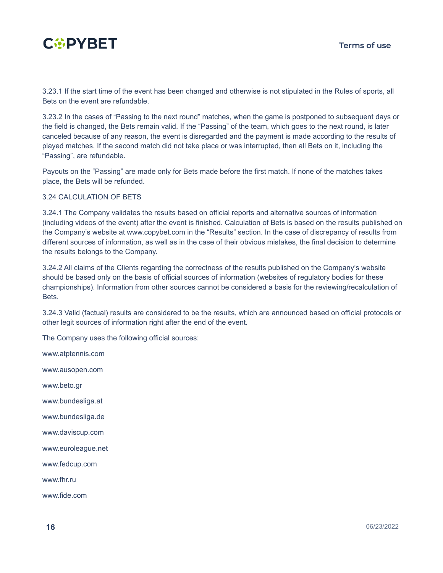

3.23.1 If the start time of the event has been changed and otherwise is not stipulated in the Rules of sports, all Bets on the event are refundable.

3.23.2 In the cases of "Passing to the next round" matches, when the game is postponed to subsequent days or the field is changed, the Bets remain valid. If the "Passing" of the team, which goes to the next round, is later canceled because of any reason, the event is disregarded and the payment is made according to the results of played matches. If the second match did not take place or was interrupted, then all Bets on it, including the "Passing", are refundable.

Payouts on the "Passing" are made only for Bets made before the first match. If none of the matches takes place, the Bets will be refunded.

#### 3.24 CALCULATION OF BETS

3.24.1 The Company validates the results based on official reports and alternative sources of information (including videos of the event) after the event is finished. Calculation of Bets is based on the results published on the Company's website at www.copybet.com in the "Results" section. In the case of discrepancy of results from different sources of information, as well as in the case of their obvious mistakes, the final decision to determine the results belongs to the Company.

3.24.2 All claims of the Clients regarding the correctness of the results published on the Company's website should be based only on the basis of official sources of information (websites of regulatory bodies for these championships). Information from other sources cannot be considered a basis for the reviewing/recalculation of Bets.

3.24.3 Valid (factual) results are considered to be the results, which are announced based on official protocols or other legit sources of information right after the end of the event.

The Company uses the following official sources:

www.atptennis.com

www.ausopen.com

www.beto.gr

www.bundesliga.at

www.bundesliga.de

www.daviscup.com

www.euroleague.net

www.fedcup.com

www.fhr.ru

www.fide.com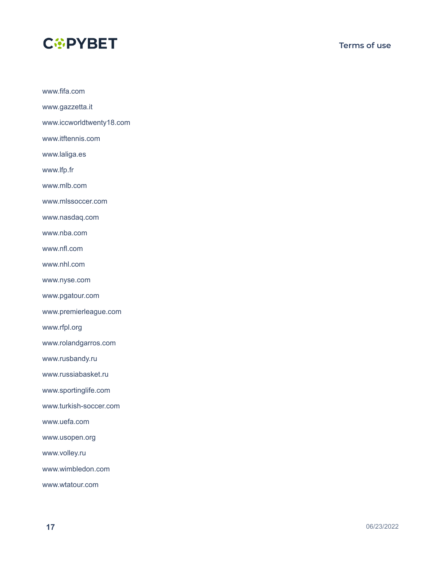

www.fifa.com

www.gazzetta.it www.iccworldtwenty18.com www.itftennis.com www.laliga.es www.lfp.fr www.mlb.com www.mlssoccer.com www.nasdaq.com www.nba.com www.nfl.com www.nhl.com www.nyse.com www.pgatour.com www.premierleague.com www.rfpl.org www.rolandgarros.com www.rusbandy.ru www.russiabasket.ru www.sportinglife.com

www.turkish-soccer.com

www.uefa.com

www.usopen.org

www.volley.ru

www.wimbledon.com

www.wtatour.com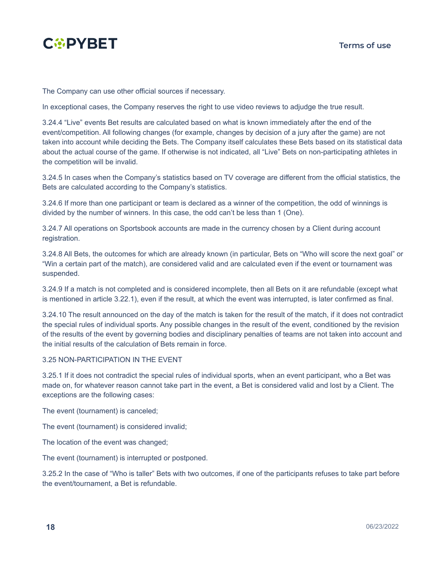

The Company can use other official sources if necessary.

In exceptional cases, the Company reserves the right to use video reviews to adjudge the true result.

3.24.4 "Live" events Bet results are calculated based on what is known immediately after the end of the event/competition. All following changes (for example, changes by decision of a jury after the game) are not taken into account while deciding the Bets. The Company itself calculates these Bets based on its statistical data about the actual course of the game. If otherwise is not indicated, all "Live" Bets on non-participating athletes in the competition will be invalid.

3.24.5 In cases when the Company's statistics based on TV coverage are different from the official statistics, the Bets are calculated according to the Company's statistics.

3.24.6 If more than one participant or team is declared as a winner of the competition, the odd of winnings is divided by the number of winners. In this case, the odd can't be less than 1 (One).

3.24.7 All operations on Sportsbook accounts are made in the currency chosen by a Client during account registration.

3.24.8 All Bets, the outcomes for which are already known (in particular, Bets on "Who will score the next goal" or "Win a certain part of the match), are considered valid and are calculated even if the event or tournament was suspended.

3.24.9 If a match is not completed and is considered incomplete, then all Bets on it are refundable (except what is mentioned in article 3.22.1), even if the result, at which the event was interrupted, is later confirmed as final.

3.24.10 The result announced on the day of the match is taken for the result of the match, if it does not contradict the special rules of individual sports. Any possible changes in the result of the event, conditioned by the revision of the results of the event by governing bodies and disciplinary penalties of teams are not taken into account and the initial results of the calculation of Bets remain in force.

#### 3.25 NON-PARTICIPATION IN THE EVENT

3.25.1 If it does not contradict the special rules of individual sports, when an event participant, who a Bet was made on, for whatever reason cannot take part in the event, a Bet is considered valid and lost by a Client. The exceptions are the following cases:

The event (tournament) is canceled;

The event (tournament) is considered invalid;

The location of the event was changed;

The event (tournament) is interrupted or postponed.

3.25.2 In the case of "Who is taller" Bets with two outcomes, if one of the participants refuses to take part before the event/tournament, a Bet is refundable.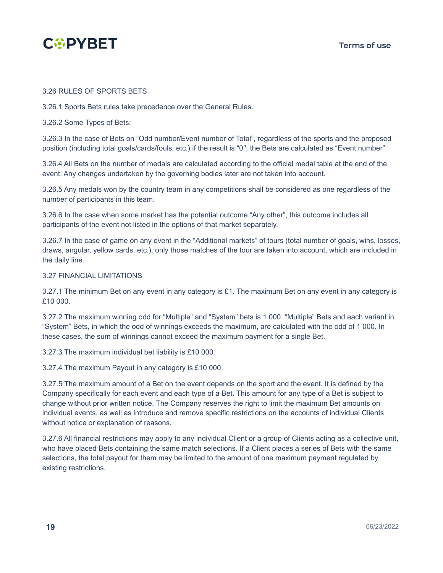

#### 3.26 RULES OF SPORTS BETS

3.26.1 Sports Bets rules take precedence over the General Rules.

3.26.2 Some Types of Bets:

3.26.3 In the case of Bets on "Odd number/Event number of Total", regardless of the sports and the proposed position (including total goals/cards/fouls, etc.) if the result is "0′′, the Bets are calculated as "Event number".

3.26.4 All Bets on the number of medals are calculated according to the official medal table at the end of the event. Any changes undertaken by the governing bodies later are not taken into account.

3.26.5 Any medals won by the country team in any competitions shall be considered as one regardless of the number of participants in this team.

3.26.6 In the case when some market has the potential outcome "Any other", this outcome includes all participants of the event not listed in the options of that market separately.

3.26.7 In the case of game on any event in the "Additional markets" of tours (total number of goals, wins, losses, draws, angular, yellow cards, etc.), only those matches of the tour are taken into account, which are included in the daily line.

#### 3.27 FINANCIAL LIMITATIONS

3.27.1 The minimum Bet on any event in any category is £1. The maximum Bet on any event in any category is £10 000.

3.27.2 The maximum winning odd for "Multiple" and "System" bets is 1 000. "Multiple" Bets and each variant in "System" Bets, in which the odd of winnings exceeds the maximum, are calculated with the odd of 1 000. In these cases, the sum of winnings cannot exceed the maximum payment for a single Bet.

3.27.3 The maximum individual bet liability is £10 000.

3.27.4 The maximum Payout in any category is £10 000.

3.27.5 The maximum amount of a Bet on the event depends on the sport and the event. It is defined by the Company specifically for each event and each type of a Bet. This amount for any type of a Bet is subject to change without prior written notice. The Company reserves the right to limit the maximum Bet amounts on individual events, as well as introduce and remove specific restrictions on the accounts of individual Clients without notice or explanation of reasons.

3.27.6 All financial restrictions may apply to any individual Client or a group of Clients acting as a collective unit, who have placed Bets containing the same match selections. If a Client places a series of Bets with the same selections, the total payout for them may be limited to the amount of one maximum payment regulated by existing restrictions.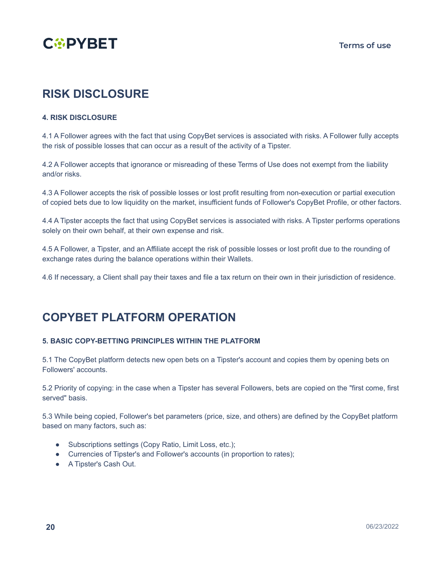

### **RISK DISCLOSURE**

#### <span id="page-18-0"></span>**4. RISK DISCLOSURE**

4.1 A Follower agrees with the fact that using CopyBet services is associated with risks. A Follower fully accepts the risk of possible losses that can occur as a result of the activity of a Tipster.

4.2 A Follower accepts that ignorance or misreading of these Terms of Use does not exempt from the liability and/or risks.

4.3 A Follower accepts the risk of possible losses or lost profit resulting from non-execution or partial execution of copied bets due to low liquidity on the market, insufficient funds of Follower's CopyBet Profile, or other factors.

4.4 A Tipster accepts the fact that using CopyBet services is associated with risks. A Tipster performs operations solely on their own behalf, at their own expense and risk.

4.5 A Follower, a Tipster, and an Affiliate accept the risk of possible losses or lost profit due to the rounding of exchange rates during the balance operations within their Wallets.

4.6 If necessary, a Client shall pay their taxes and file a tax return on their own in their jurisdiction of residence.

### **COPYBET PLATFORM OPERATION**

#### <span id="page-18-1"></span>**5. BASIC COPY-BETTING PRINCIPLES WITHIN THE PLATFORM**

5.1 The CopyBet platform detects new open bets on a Tipster's account and copies them by opening bets on Followers' accounts.

5.2 Priority of copying: in the case when a Tipster has several Followers, bets are copied on the "first come, first served" basis.

5.3 While being copied, Follower's bet parameters (price, size, and others) are defined by the CopyBet platform based on many factors, such as:

- Subscriptions settings (Copy Ratio, Limit Loss, etc.);
- Currencies of Tipster's and Follower's accounts (in proportion to rates);
- A Tipster's Cash Out.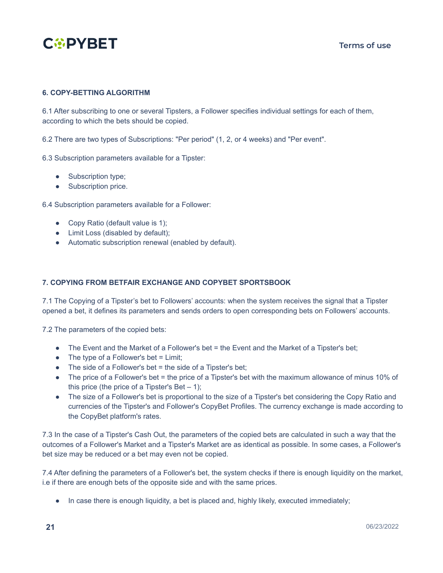

#### <span id="page-19-0"></span>**6. COPY-BETTING ALGORITHM**

6.1 After subscribing to one or several Tipsters, a Follower specifies individual settings for each of them, according to which the bets should be copied.

6.2 There are two types of Subscriptions: "Per period" (1, 2, or 4 weeks) and "Per event".

6.3 Subscription parameters available for a Tipster:

- Subscription type;
- Subscription price.

6.4 Subscription parameters available for a Follower:

- Copy Ratio (default value is 1);
- Limit Loss (disabled by default);
- Automatic subscription renewal (enabled by default).

#### <span id="page-19-1"></span>**7. COPYING FROM BETFAIR EXCHANGE AND COPYBET SPORTSBOOK**

7.1 The Copying of a Tipster's bet to Followers' accounts: when the system receives the signal that a Tipster opened a bet, it defines its parameters and sends orders to open corresponding bets on Followers' accounts.

7.2 The parameters of the copied bets:

- The Event and the Market of a Follower's bet = the Event and the Market of a Tipster's bet;
- $\bullet$  The type of a Follower's bet = Limit;
- $\bullet$  The side of a Follower's bet = the side of a Tipster's bet;
- The price of a Follower's bet = the price of a Tipster's bet with the maximum allowance of minus 10% of this price (the price of a Tipster's Bet  $-1$ );
- The size of a Follower's bet is proportional to the size of a Tipster's bet considering the Copy Ratio and currencies of the Tipster's and Follower's CopyBet Profiles. The currency exchange is made according to the CopyBet platform's rates.

7.3 In the case of a Tipster's Cash Out, the parameters of the copied bets are calculated in such a way that the outcomes of a Follower's Market and a Tipster's Market are as identical as possible. In some cases, a Follower's bet size may be reduced or a bet may even not be copied.

7.4 After defining the parameters of a Follower's bet, the system checks if there is enough liquidity on the market, i.e if there are enough bets of the opposite side and with the same prices.

● In case there is enough liquidity, a bet is placed and, highly likely, executed immediately;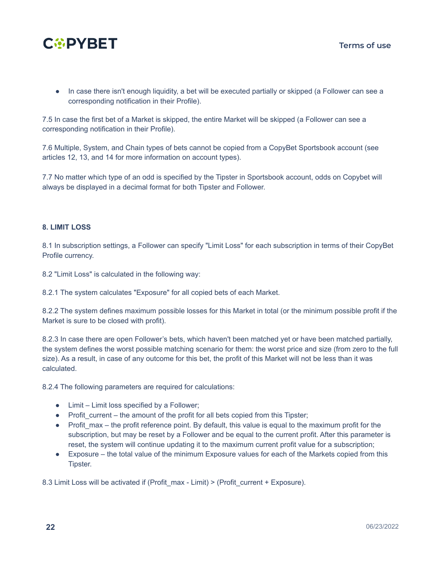

● In case there isn't enough liquidity, a bet will be executed partially or skipped (a Follower can see a corresponding notification in their Profile).

7.5 In case the first bet of a Market is skipped, the entire Market will be skipped (a Follower can see a corresponding notification in their Profile).

7.6 Multiple, System, and Chain types of bets cannot be copied from a CopyBet Sportsbook account (see articles 12, 13, and 14 for more information on account types).

7.7 No matter which type of an odd is specified by the Tipster in Sportsbook account, odds on Сopybet will always be displayed in a decimal format for both Tipster and Follower.

#### <span id="page-20-0"></span>**8. LIMIT LOSS**

8.1 In subscription settings, a Follower can specify "Limit Loss" for each subscription in terms of their CopyBet Profile currency.

8.2 "Limit Loss" is calculated in the following way:

8.2.1 The system calculates "Exposure" for all copied bets of each Market.

8.2.2 The system defines maximum possible losses for this Market in total (or the minimum possible profit if the Market is sure to be closed with profit).

8.2.3 In case there are open Follower's bets, which haven't been matched yet or have been matched partially, the system defines the worst possible matching scenario for them: the worst price and size (from zero to the full size). As a result, in case of any outcome for this bet, the profit of this Market will not be less than it was calculated.

8.2.4 The following parameters are required for calculations:

- Limit Limit loss specified by a Follower;
- $\bullet$  Profit current the amount of the profit for all bets copied from this Tipster;
- Profit\_max the profit reference point. By default, this value is equal to the maximum profit for the subscription, but may be reset by a Follower and be equal to the current profit. After this parameter is reset, the system will continue updating it to the maximum current profit value for a subscription;
- Exposure the total value of the minimum Exposure values for each of the Markets copied from this Tipster.

8.3 Limit Loss will be activated if (Profit max - Limit) > (Profit current + Exposure).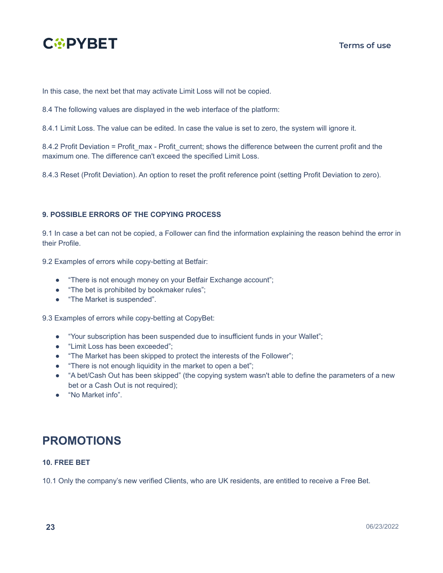

In this case, the next bet that may activate Limit Loss will not be copied.

8.4 The following values are displayed in the web interface of the platform:

8.4.1 Limit Loss. The value can be edited. In case the value is set to zero, the system will ignore it.

8.4.2 Profit Deviation = Profit\_max - Profit\_current; shows the difference between the current profit and the maximum one. The difference can't exceed the specified Limit Loss.

8.4.3 Reset (Profit Deviation). An option to reset the profit reference point (setting Profit Deviation to zero).

#### <span id="page-21-0"></span>**9. POSSIBLE ERRORS OF THE COPYING PROCESS**

9.1 In case a bet can not be copied, a Follower can find the information explaining the reason behind the error in their Profile.

9.2 Examples of errors while copy-betting at Betfair:

- "There is not enough money on your Betfair Exchange account";
- "The bet is prohibited by bookmaker rules";
- "The Market is suspended".

9.3 Examples of errors while copy-betting at CopyBet:

- "Your subscription has been suspended due to insufficient funds in your Wallet";
- "Limit Loss has been exceeded";
- "The Market has been skipped to protect the interests of the Follower";
- "There is not enough liquidity in the market to open a bet";
- "A bet/Cash Out has been skipped" (the copying system wasn't able to define the parameters of a new bet or a Cash Out is not required);
- "No Market info".

### **PROMOTIONS**

#### <span id="page-21-1"></span>**10. FREE BET**

10.1 Only the company's new verified Clients, who are UK residents, are entitled to receive a Free Bet.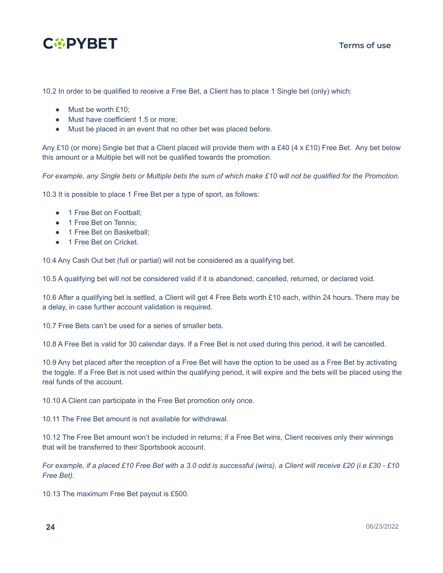

10.2 In order to be qualified to receive a Free Bet, a Client has to place 1 Single bet (only) which:

- Must be worth £10:
- Must have coefficient 1.5 or more;
- Must be placed in an event that no other bet was placed before.

Any £10 (or more) Single bet that a Client placed will provide them with a £40 (4 x £10) Free Bet. Any bet below this amount or a Multiple bet will not be qualified towards the promotion.

For example, any Single bets or Multiple bets the sum of which make  $£10$  will not be qualified for the Promotion.

10.3 It is possible to place 1 Free Bet per a type of sport, as follows:

- 1 Free Bet on Football:
- 1 Free Bet on Tennis;
- 1 Free Bet on Basketball;
- 1 Free Bet on Cricket.

10.4 Any Cash Out bet (full or partial) will not be considered as a qualifying bet.

10.5 A qualifying bet will not be considered valid if it is abandoned, cancelled, returned, or declared void.

10.6 After a qualifying bet is settled, a Client will get 4 Free Bets worth £10 each, within 24 hours. There may be a delay, in case further account validation is required.

10.7 Free Bets can't be used for a series of smaller bets.

10.8 A Free Bet is valid for 30 calendar days. If a Free Bet is not used during this period, it will be cancelled.

10.9 Any bet placed after the reception of a Free Bet will have the option to be used as a Free Bet by activating the toggle. If a Free Bet is not used within the qualifying period, it will expire and the bets will be placed using the real funds of the account.

10.10 A Client can participate in the Free Bet promotion only once.

10.11 The Free Bet amount is not available for withdrawal.

10.12 The Free Bet amount won't be included in returns; if a Free Bet wins, Client receives only their winnings that will be transferred to their Sportsbook account.

For example, if a placed £10 Free Bet with a 3.0 odd is successful (wins), a Client will receive £20 (i.e £30 - £10 *Free Bet).*

10.13 The maximum Free Bet payout is £500.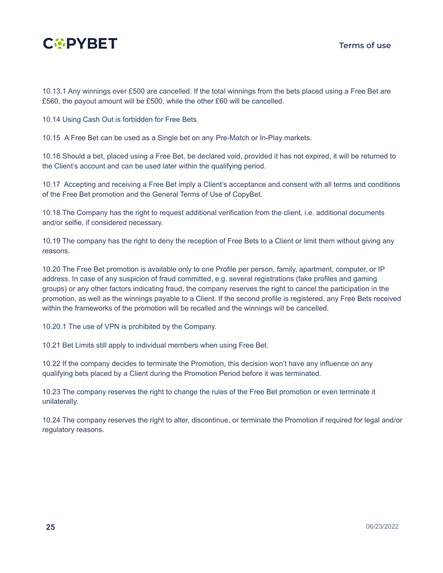

10.13.1 Any winnings over £500 are cancelled. If the total winnings from the bets placed using a Free Bet are £560, the payout amount will be £500, while the other £60 will be cancelled.

10.14 Using Cash Out is forbidden for Free Bets.

10.15 A Free Bet can be used as a Single bet on any Pre-Match or In-Play markets.

10.16 Should a bet, placed using a Free Bet, be declared void, provided it has not expired, it will be returned to the Client's account and can be used later within the qualifying period.

10.17 Accepting and receiving a Free Bet imply a Client's acceptance and consent with all terms and conditions of the Free Bet promotion and the General Terms of Use of CopyBet.

10.18 The Company has the right to request additional verification from the client, i.e. additional documents and/or selfie, if considered necessary.

10.19 The company has the right to deny the reception of Free Bets to a Client or limit them without giving any reasons.

10.20 The Free Bet promotion is available only to one Profile per person, family, apartment, computer, or IP address. In case of any suspicion of fraud committed, e.g. several registrations (fake profiles and gaming groups) or any other factors indicating fraud, the company reserves the right to cancel the participation in the promotion, as well as the winnings payable to a Client. If the second profile is registered, any Free Bets received within the frameworks of the promotion will be recalled and the winnings will be cancelled.

10.20.1 The use of VPN is prohibited by the Company.

10.21 Bet Limits still apply to individual members when using Free Bet.

10.22 If the company decides to terminate the Promotion, this decision won't have any influence on any qualifying bets placed by a Client during the Promotion Period before it was terminated.

10.23 The company reserves the right to change the rules of the Free Bet promotion or even terminate it unilaterally.

10.24 The company reserves the right to alter, discontinue, or terminate the Promotion if required for legal and/or regulatory reasons.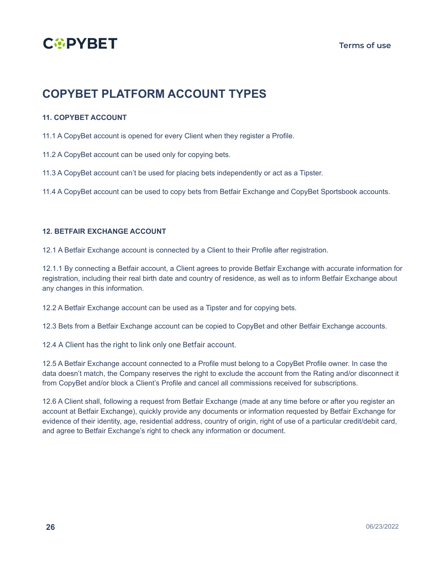

### **COPYBET PLATFORM ACCOUNT TYPES**

#### <span id="page-24-0"></span>**11. COPYBET ACCOUNT**

11.1 A CopyBet account is opened for every Client when they register a Profile.

11.2 A CopyBet account can be used only for copying bets.

11.3 A CopyBet account can't be used for placing bets independently or act as a Tipster.

11.4 A CopyBet account can be used to copy bets from Betfair Exchange and CopyBet Sportsbook accounts.

#### <span id="page-24-1"></span>**12. BETFAIR EXCHANGE ACCOUNT**

12.1 A Betfair Exchange account is connected by a Client to their Profile after registration.

12.1.1 By connecting a Betfair account, a Client agrees to provide Betfair Exchange with accurate information for registration, including their real birth date and country of residence, as well as to inform Betfair Exchange about any changes in this information.

12.2 A Betfair Exchange account can be used as a Tipster and for copying bets.

12.3 Bets from a Betfair Exchange account can be copied to CopyBet and other Betfair Exchange accounts.

12.4 A Client has the right to link only one Betfair account.

12.5 A Betfair Exchange account connected to a Profile must belong to a CopyBet Profile owner. In case the data doesn't match, the Company reserves the right to exclude the account from the Rating and/or disconnect it from CopyBet and/or block a Client's Profile and cancel all commissions received for subscriptions.

12.6 A Client shall, following a request from Betfair Exchange (made at any time before or after you register an account at Betfair Exchange), quickly provide any documents or information requested by Betfair Exchange for evidence of their identity, age, residential address, country of origin, right of use of a particular credit/debit card, and agree to Betfair Exchange's right to check any information or document.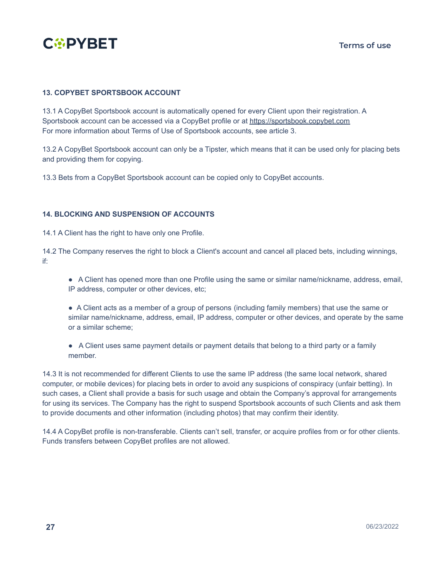

#### <span id="page-25-0"></span>**13. COPYBET SPORTSBOOK ACCOUNT**

13.1 A CopyBet Sportsbook account is automatically opened for every Client upon their registration. A Sportsbook account can be accessed via a CopyBet profile or at <https://sportsbook.copybet.com> For more information about Terms of Use of Sportsbook accounts, see article 3.

13.2 A CopyBet Sportsbook account can only be a Tipster, which means that it can be used only for placing bets and providing them for copying.

13.3 Bets from a CopyBet Sportsbook account can be copied only to CopyBet accounts.

#### <span id="page-25-1"></span>**14. BLOCKING AND SUSPENSION OF ACCOUNTS**

14.1 A Client has the right to have only one Profile.

14.2 The Company reserves the right to block a Client's account and cancel all placed bets, including winnings, if:

- A Client has opened more than one Profile using the same or similar name/nickname, address, email, IP address, computer or other devices, etc;
- A Client acts as a member of a group of persons (including family members) that use the same or similar name/nickname, address, email, IP address, computer or other devices, and operate by the same or a similar scheme;
- A Client uses same payment details or payment details that belong to a third party or a family member.

14.3 It is not recommended for different Clients to use the same IP address (the same local network, shared computer, or mobile devices) for placing bets in order to avoid any suspicions of conspiracy (unfair betting). In such cases, a Client shall provide a basis for such usage and obtain the Company's approval for arrangements for using its services. The Company has the right to suspend Sportsbook accounts of such Clients and ask them to provide documents and other information (including photos) that may confirm their identity.

14.4 A CopyBet profile is non-transferable. Clients can't sell, transfer, or acquire profiles from or for other clients. Funds transfers between CopyBet profiles are not allowed.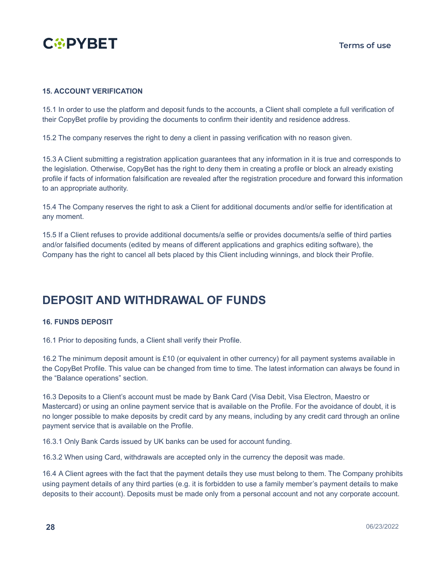

#### <span id="page-26-0"></span>**15. ACCOUNT VERIFICATION**

15.1 In order to use the platform and deposit funds to the accounts, a Client shall complete a full verification of their CopyBet profile by providing the documents to confirm their identity and residence address.

15.2 The company reserves the right to deny a client in passing verification with no reason given.

15.3 A Client submitting a registration application guarantees that any information in it is true and corresponds to the legislation. Otherwise, CopyBet has the right to deny them in creating a profile or block an already existing profile if facts of information falsification are revealed after the registration procedure and forward this information to an appropriate authority.

15.4 The Company reserves the right to ask a Client for additional documents and/or selfie for identification at any moment.

15.5 If a Client refuses to provide additional documents/a selfie or provides documents/a selfie of third parties and/or falsified documents (edited by means of different applications and graphics editing software), the Company has the right to cancel all bets placed by this Client including winnings, and block their Profile.

### **DEPOSIT AND WITHDRAWAL OF FUNDS**

#### <span id="page-26-1"></span>**16. FUNDS DEPOSIT**

16.1 Prior to depositing funds, a Client shall verify their Profile.

16.2 The minimum deposit amount is £10 (or equivalent in other currency) for all payment systems available in the CopyBet Profile. This value can be changed from time to time. The latest information can always be found in the "Balance [operations](https://www.copybet.com/account/balance/transactions/)" section.

16.3 Deposits to a Client's account must be made by Bank Card (Visa Debit, Visa Electron, Maestro or Mastercard) or using an online payment service that is available on the Profile. For the avoidance of doubt, it is no longer possible to make deposits by credit card by any means, including by any credit card through an online payment service that is available on the Profile.

16.3.1 Only Bank Cards issued by UK banks can be used for account funding.

16.3.2 When using Card, withdrawals are accepted only in the currency the deposit was made.

16.4 A Client agrees with the fact that the payment details they use must belong to them. The Company prohibits using payment details of any third parties (e.g. it is forbidden to use a family member's payment details to make deposits to their account). Deposits must be made only from a personal account and not any corporate account.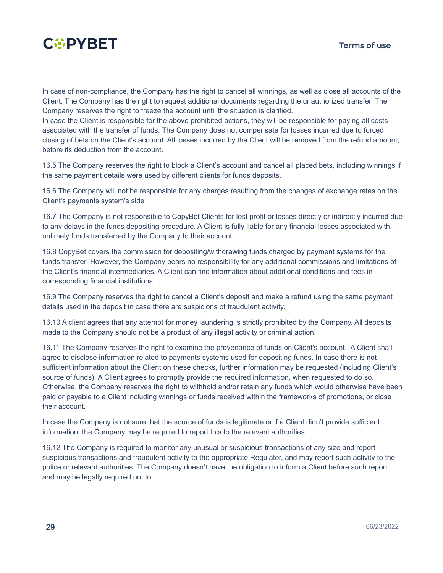

In case of non-compliance, the Company has the right to cancel all winnings, as well as close all accounts of the Client. The Company has the right to request additional documents regarding the unauthorized transfer. The Company reserves the right to freeze the account until the situation is clarified.

In case the Client is responsible for the above prohibited actions, they will be responsible for paying all costs associated with the transfer of funds. The Company does not compensate for losses incurred due to forced closing of bets on the Client's account. All losses incurred by the Client will be removed from the refund amount, before its deduction from the account.

16.5 The Company reserves the right to block a Client's account and cancel all placed bets, including winnings if the same payment details were used by different clients for funds deposits.

16.6 The Company will not be responsible for any charges resulting from the changes of exchange rates on the Сlient's payments system's side

16.7 The Company is not responsible to CopyBet Clients for lost profit or losses directly or indirectly incurred due to any delays in the funds depositing procedure. A Client is fully liable for any financial losses associated with untimely funds transferred by the Company to their account.

16.8 CopyBet covers the commission for depositing/withdrawing funds charged by payment systems for the funds transfer. However, the Company bears no responsibility for any additional commissions and limitations of the Client's financial intermediaries. A Client can find information about additional conditions and fees in corresponding financial institutions.

16.9 The Company reserves the right to cancel a Client's deposit and make a refund using the same payment details used in the deposit in case there are suspicions of fraudulent activity.

16.10 A client agrees that any attempt for money laundering is strictly prohibited by the Company. All deposits made to the Company should not be a product of any illegal activity or criminal action.

16.11 The Company reserves the right to examine the provenance of funds on Client's account. A Client shall agree to disclose information related to payments systems used for depositing funds. In case there is not sufficient information about the Client on these checks, further information may be requested (including Client's source of funds). A Client agrees to promptly provide the required information, when requested to do so. Otherwise, the Company reserves the right to withhold and/or retain any funds which would otherwise have been paid or payable to a Client including winnings or funds received within the frameworks of promotions, or close their account.

In case the Company is not sure that the source of funds is legitimate or if a Client didn't provide sufficient information, the Company may be required to report this to the relevant authorities.

16.12 The Company is required to monitor any unusual or suspicious transactions of any size and report suspicious transactions and fraudulent activity to the appropriate Regulator, and may report such activity to the police or relevant authorities. The Company doesn't have the obligation to inform a Client before such report and may be legally required not to.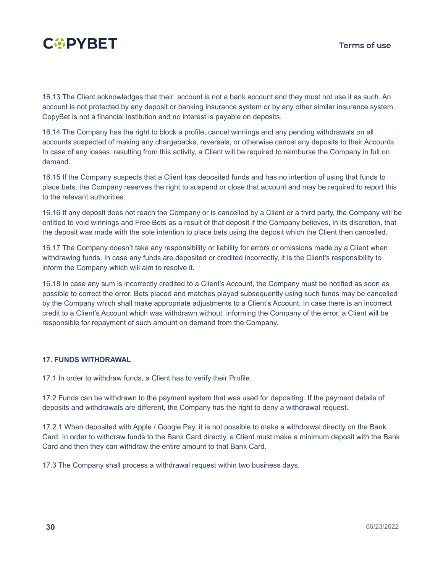

16.13 The Client acknowledges that their account is not a bank account and they must not use it as such. An account is not protected by any deposit or banking insurance system or by any other similar insurance system. CopyBet is not a financial institution and no interest is payable on deposits.

16.14 The Company has the right to block a profile, cancel winnings and any pending withdrawals on all accounts suspected of making any chargebacks, reversals, or otherwise cancel any deposits to their Accounts. In case of any losses resulting from this activity, a Client will be required to reimburse the Company in full on demand.

16.15 If the Company suspects that a Client has deposited funds and has no intention of using that funds to place bets, the Company reserves the right to suspend or close that account and may be required to report this to the relevant authorities.

16.16 If any deposit does not reach the Company or is cancelled by a Client or a third party, the Company will be entitled to void winnings and Free Bets as a result of that deposit if the Company believes, in its discretion, that the deposit was made with the sole intention to place bets using the deposit which the Client then cancelled.

16.17 The Company doesn't take any responsibility or liability for errors or omissions made by a Client when withdrawing funds. In case any funds are deposited or credited incorrectly, it is the Client's responsibility to inform the Company which will aim to resolve it.

16.18 In case any sum is incorrectly credited to a Client's Account, the Company must be notified as soon as possible to correct the error. Bets placed and matches played subsequently using such funds may be cancelled by the Company which shall make appropriate adjustments to a Client's Account. In case there is an incorrect credit to a Client's Account which was withdrawn without informing the Company of the error, a Client will be responsible for repayment of such amount on demand from the Company.

#### <span id="page-28-0"></span>**17. FUNDS WITHDRAWAL**

17.1 In order to withdraw funds, a Client has to verify their Profile.

17.2 Funds can be withdrawn to the payment system that was used for depositing. If the payment details of deposits and withdrawals are different, the Company has the right to deny a withdrawal request.

17.2.1 When deposited with Apple / Google Pay, it is not possible to make a withdrawal directly on the Bank Card. In order to withdraw funds to the Bank Card directly, a Client must make a minimum deposit with the Bank Card and then they can withdraw the entire amount to that Bank Card.

17.3 The Company shall process a withdrawal request within two business days.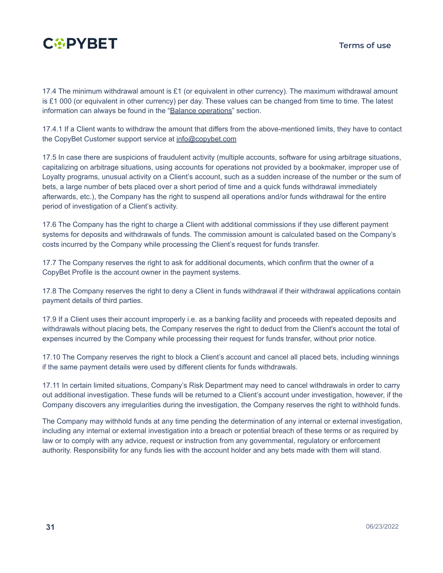

17.4 The minimum withdrawal amount is £1 (or equivalent in other currency). The maximum withdrawal amount is £1 000 (or equivalent in other currency) per day. These values can be changed from time to time. The latest information can always be found in the "Balance [operations"](https://www.copybet.com/account/balance/transactions/) section.

17.4.1 If a Client wants to withdraw the amount that differs from the above-mentioned limits, they have to contact the CopyBet Customer support service at [info@copybet.com](mailto:info@copybet.com)

17.5 In case there are suspicions of fraudulent activity (multiple accounts, software for using arbitrage situations, capitalizing on arbitrage situations, using accounts for operations not provided by a bookmaker, improper use of Loyalty programs, unusual activity on a Client's account, such as a sudden increase of the number or the sum of bets, a large number of bets placed over a short period of time and a quick funds withdrawal immediately afterwards, etc.), the Company has the right to suspend all operations and/or funds withdrawal for the entire period of investigation of a Client's activity.

17.6 The Company has the right to charge a Client with additional commissions if they use different payment systems for deposits and withdrawals of funds. The commission amount is calculated based on the Company's costs incurred by the Company while processing the Client's request for funds transfer.

17.7 The Company reserves the right to ask for additional documents, which confirm that the owner of a CopyBet Profile is the account owner in the payment systems.

17.8 The Company reserves the right to deny a Client in funds withdrawal if their withdrawal applications contain payment details of third parties.

17.9 If a Client uses their account improperly i.e. as a banking facility and proceeds with repeated deposits and withdrawals without placing bets, the Company reserves the right to deduct from the Client's account the total of expenses incurred by the Company while processing their request for funds transfer, without prior notice.

17.10 The Company reserves the right to block a Client's account and cancel all placed bets, including winnings if the same payment details were used by different clients for funds withdrawals.

17.11 In certain limited situations, Company's Risk Department may need to cancel withdrawals in order to carry out additional investigation. These funds will be returned to a Client's account under investigation, however, if the Company discovers any irregularities during the investigation, the Company reserves the right to withhold funds.

The Company may withhold funds at any time pending the determination of any internal or external investigation, including any internal or external investigation into a breach or potential breach of these terms or as required by law or to comply with any advice, request or instruction from any governmental, regulatory or enforcement authority. Responsibility for any funds lies with the account holder and any bets made with them will stand.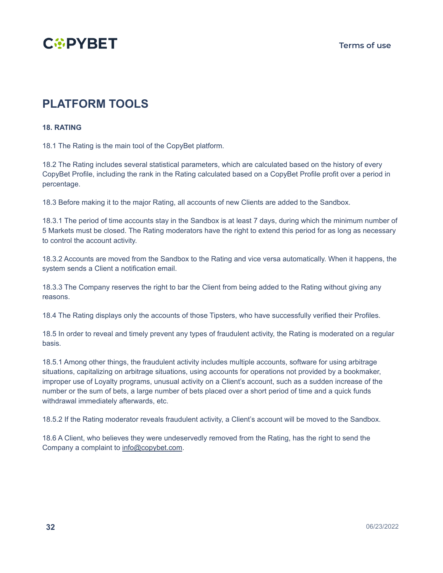

### **PLATFORM TOOLS**

#### <span id="page-30-0"></span>**18. RATING**

18.1 The Rating is the main tool of the CopyBet platform.

18.2 The Rating includes several statistical parameters, which are calculated based on the history of every CopyBet Profile, including the rank in the Rating calculated based on a CopyBet Profile profit over a period in percentage.

18.3 Before making it to the major Rating, all accounts of new Clients are added to the Sandbox.

18.3.1 The period of time accounts stay in the Sandbox is at least 7 days, during which the minimum number of 5 Markets must be closed. The Rating moderators have the right to extend this period for as long as necessary to control the account activity.

18.3.2 Accounts are moved from the Sandbox to the Rating and vice versa automatically. When it happens, the system sends a Client a notification email.

18.3.3 The Company reserves the right to bar the Client from being added to the Rating without giving any reasons.

18.4 The Rating displays only the accounts of those Tipsters, who have successfully verified their Profiles.

18.5 In order to reveal and timely prevent any types of fraudulent activity, the Rating is moderated on a regular basis.

18.5.1 Among other things, the fraudulent activity includes multiple accounts, software for using arbitrage situations, capitalizing on arbitrage situations, using accounts for operations not provided by a bookmaker, improper use of Loyalty programs, unusual activity on a Client's account, such as a sudden increase of the number or the sum of bets, a large number of bets placed over a short period of time and a quick funds withdrawal immediately afterwards, etc.

18.5.2 If the Rating moderator reveals fraudulent activity, a Client's account will be moved to the Sandbox.

18.6 A Client, who believes they were undeservedly removed from the Rating, has the right to send the Company a complaint to [info@copybet.com](mailto:info@copybet.com).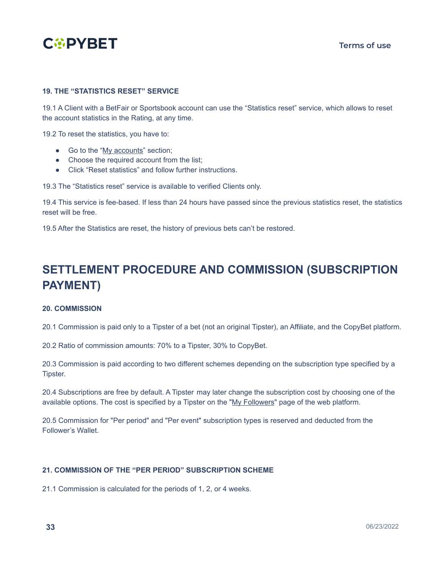

#### <span id="page-31-0"></span>**19. THE "STATISTICS RESET" SERVICE**

19.1 A Client with a BetFair or Sportsbook account can use the "Statistics reset" service, which allows to reset the account statistics in the Rating, at any time.

19.2 To reset the statistics, you have to:

- Go to the "My [accounts"](https://www.copybet.com/account/accounts/) section;
- Choose the required account from the list:
- Click "Reset statistics" and follow further instructions.

19.3 The "Statistics reset" service is available to verified Clients only.

19.4 This service is fee-based. If less than 24 hours have passed since the previous statistics reset, the statistics reset will be free.

19.5 After the Statistics are reset, the history of previous bets can't be restored.

### **SETTLEMENT PROCEDURE AND COMMISSION (SUBSCRIPTION PAYMENT)**

#### <span id="page-31-1"></span>**20. COMMISSION**

20.1 Commission is paid only to a Tipster of a bet (not an original Tipster), an Affiliate, and the CopyBet platform.

20.2 Ratio of commission amounts: 70% to a Tipster, 30% to CopyBet.

20.3 Commission is paid according to two different schemes depending on the subscription type specified by a Tipster.

20.4 Subscriptions are free by default. A Tipster may later change the subscription cost by choosing one of the available options. The cost is specified by a Tipster on the "My [Followers](https://www.copybet.com/account/subscribers/)" page of the web platform.

20.5 Commission for "Per period" and "Per event" subscription types is reserved and deducted from the Follower's Wallet.

#### <span id="page-31-2"></span>**21. COMMISSION OF THE "PER PERIOD" SUBSCRIPTION SCHEME**

21.1 Commission is calculated for the periods of 1, 2, or 4 weeks.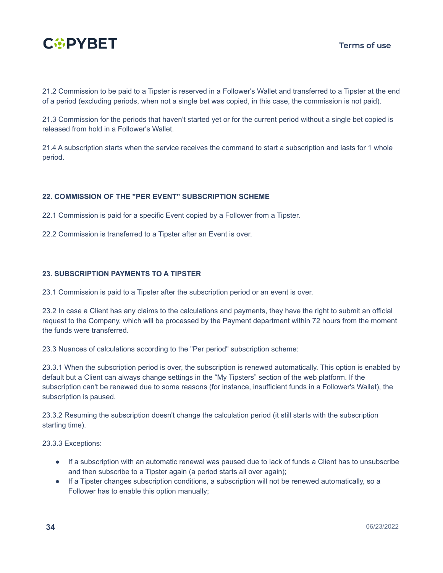

21.2 Commission to be paid to a Tipster is reserved in a Follower's Wallet and transferred to a Tipster at the end of a period (excluding periods, when not a single bet was copied, in this case, the commission is not paid).

21.3 Commission for the periods that haven't started yet or for the current period without a single bet copied is released from hold in a Follower's Wallet.

21.4 A subscription starts when the service receives the command to start a subscription and lasts for 1 whole period.

#### <span id="page-32-0"></span>**22. COMMISSION OF THE "PER EVENT" SUBSCRIPTION SCHEME**

22.1 Commission is paid for a specific Event copied by a Follower from a Tipster.

22.2 Commission is transferred to a Tipster after an Event is over.

#### <span id="page-32-1"></span>**23. SUBSCRIPTION PAYMENTS TO A TIPSTER**

23.1 Commission is paid to a Tipster after the subscription period or an event is over.

23.2 In case a Client has any claims to the calculations and payments, they have the right to submit an official request to the Company, which will be processed by the Payment department within 72 hours from the moment the funds were transferred.

23.3 Nuances of calculations according to the "Per period" subscription scheme:

23.3.1 When the subscription period is over, the subscription is renewed automatically. This option is enabled by default but a Client can always change settings in the "My Tipsters" section of the web platform. If the subscription can't be renewed due to some reasons (for instance, insufficient funds in a Follower's Wallet), the subscription is paused.

23.3.2 Resuming the subscription doesn't change the calculation period (it still starts with the subscription starting time).

23.3.3 Exceptions:

- If a subscription with an automatic renewal was paused due to lack of funds a Client has to unsubscribe and then subscribe to a Tipster again (a period starts all over again);
- If a Tipster changes subscription conditions, a subscription will not be renewed automatically, so a Follower has to enable this option manually;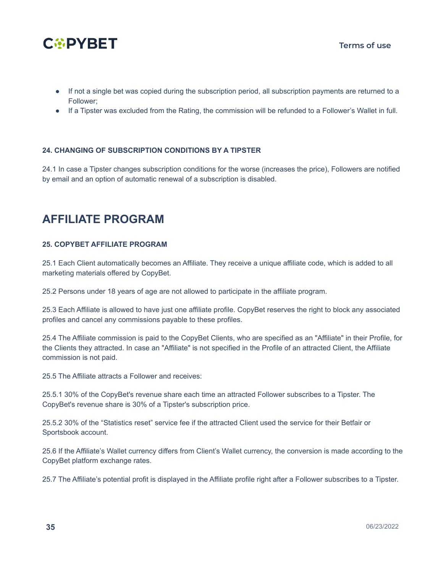

- If not a single bet was copied during the subscription period, all subscription payments are returned to a Follower;
- If a Tipster was excluded from the Rating, the commission will be refunded to a Follower's Wallet in full.

#### <span id="page-33-0"></span>**24. CHANGING OF SUBSCRIPTION CONDITIONS BY A TIPSTER**

24.1 In case a Tipster changes subscription conditions for the worse (increases the price), Followers are notified by email and an option of automatic renewal of a subscription is disabled.

### **AFFILIATE PROGRAM**

#### <span id="page-33-1"></span>**25. COPYBET AFFILIATE PROGRAM**

25.1 Each Client automatically becomes an Affiliate. They receive a unique affiliate code, which is added to all marketing materials offered by CopyBet.

25.2 Persons under 18 years of age are not allowed to participate in the affiliate program.

25.3 Each Affiliate is allowed to have just one affiliate profile. CopyBet reserves the right to block any associated profiles and cancel any commissions payable to these profiles.

25.4 The Affiliate commission is paid to the CopyBet Clients, who are specified as an "Affiliate" in their Profile, for the Clients they attracted. In case an "Affiliate" is not specified in the Profile of an attracted Client, the Affiliate commission is not paid.

25.5 The Affiliate attracts a Follower and receives:

25.5.1 30% of the CopyBet's revenue share each time an attracted Follower subscribes to a Tipster. The CopyBet's revenue share is 30% of a Tipster's subscription price.

25.5.2 30% of the "Statistics reset" service fee if the attracted Client used the service for their Betfair or Sportsbook account.

25.6 If the Affiliate's Wallet currency differs from Client's Wallet currency, the conversion is made according to the CopyBet platform exchange rates.

25.7 The Affiliate's potential profit is displayed in the Affiliate profile right after a Follower subscribes to a Tipster.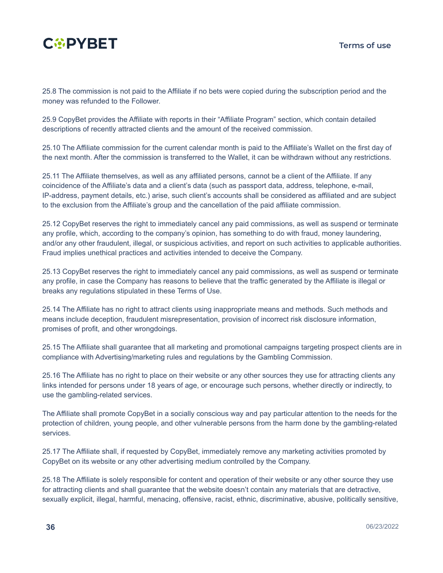

25.8 The commission is not paid to the Affiliate if no bets were copied during the subscription period and the money was refunded to the Follower.

25.9 CopyBet provides the Affiliate with reports in their "Affiliate Program" section, which contain detailed descriptions of recently attracted clients and the amount of the received commission.

25.10 The Affiliate commission for the current calendar month is paid to the Affiliate's Wallet on the first day of the next month. After the commission is transferred to the Wallet, it can be withdrawn without any restrictions.

25.11 The Affiliate themselves, as well as any affiliated persons, cannot be a client of the Affiliate. If any coincidence of the Affiliate's data and a client's data (such as passport data, address, telephone, e-mail, IP-address, payment details, etc.) arise, such client's accounts shall be considered as affiliated and are subject to the exclusion from the Affiliate's group and the cancellation of the paid affiliate commission.

25.12 CopyBet reserves the right to immediately cancel any paid commissions, as well as suspend or terminate any profile, which, according to the company's opinion, has something to do with fraud, money laundering, and/or any other fraudulent, illegal, or suspicious activities, and report on such activities to applicable authorities. Fraud implies unethical practices and activities intended to deceive the Company.

25.13 CopyBet reserves the right to immediately cancel any paid commissions, as well as suspend or terminate any profile, in case the Company has reasons to believe that the traffic generated by the Affiliate is illegal or breaks any regulations stipulated in these Terms of Use.

25.14 The Affiliate has no right to attract clients using inappropriate means and methods. Such methods and means include deception, fraudulent misrepresentation, provision of incorrect risk disclosure information, promises of profit, and other wrongdoings.

25.15 The Affiliate shall guarantee that all marketing and promotional campaigns targeting prospect clients are in compliance with Advertising/marketing rules and regulations by the Gambling Commission.

25.16 The Affiliate has no right to place on their website or any other sources they use for attracting clients any links intended for persons under 18 years of age, or encourage such persons, whether directly or indirectly, to use the gambling-related services.

The Affiliate shall promote CopyBet in a socially conscious way and pay particular attention to the needs for the protection of children, young people, and other vulnerable persons from the harm done by the gambling-related services.

25.17 The Affiliate shall, if requested by CopyBet, immediately remove any marketing activities promoted by CopyBet on its website or any other advertising medium controlled by the Company.

25.18 The Affiliate is solely responsible for content and operation of their website or any other source they use for attracting clients and shall guarantee that the website doesn't contain any materials that are detractive, sexually explicit, illegal, harmful, menacing, offensive, racist, ethnic, discriminative, abusive, politically sensitive,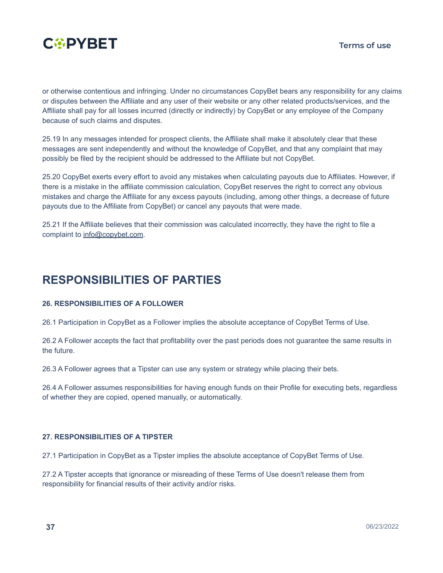

or otherwise contentious and infringing. Under no circumstances CopyBet bears any responsibility for any claims or disputes between the Affiliate and any user of their website or any other related products/services, and the Affiliate shall pay for all losses incurred (directly or indirectly) by CopyBet or any employee of the Company because of such claims and disputes.

25.19 In any messages intended for prospect clients, the Affiliate shall make it absolutely clear that these messages are sent independently and without the knowledge of CopyBet, and that any complaint that may possibly be filed by the recipient should be addressed to the Affiliate but not CopyBet.

25.20 CopyBet exerts every effort to avoid any mistakes when calculating payouts due to Affiliates. However, if there is a mistake in the affiliate commission calculation, CopyBet reserves the right to correct any obvious mistakes and charge the Affiliate for any excess payouts (including, among other things, a decrease of future payouts due to the Affiliate from CopyBet) or cancel any payouts that were made.

25.21 If the Affiliate believes that their commission was calculated incorrectly, they have the right to file a complaint to [info@copybet.com](mailto:info@copybet.com).

### **RESPONSIBILITIES OF PARTIES**

#### <span id="page-35-0"></span>**26. RESPONSIBILITIES OF A FOLLOWER**

26.1 Participation in CopyBet as a Follower implies the absolute acceptance of CopyBet Terms of Use.

26.2 A Follower accepts the fact that profitability over the past periods does not guarantee the same results in the future.

26.3 A Follower agrees that a Tipster can use any system or strategy while placing their bets.

26.4 A Follower assumes responsibilities for having enough funds on their Profile for executing bets, regardless of whether they are copied, opened manually, or automatically.

#### <span id="page-35-1"></span>**27. RESPONSIBILITIES OF A TIPSTER**

27.1 Participation in CopyBet as a Tipster implies the absolute acceptance of CopyBet Terms of Use.

27.2 A Tipster accepts that ignorance or misreading of these Terms of Use doesn't release them from responsibility for financial results of their activity and/or risks.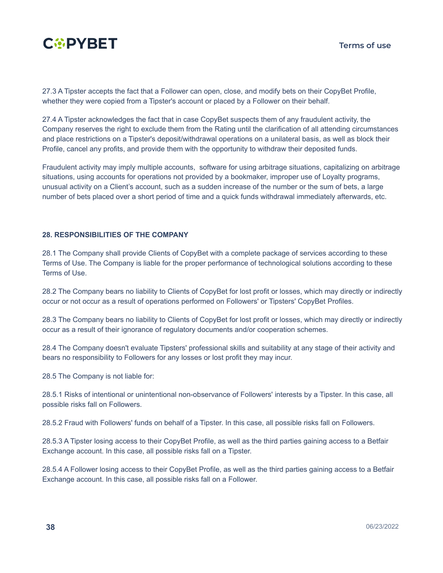

27.3 A Tipster accepts the fact that a Follower can open, close, and modify bets on their CopyBet Profile, whether they were copied from a Tipster's account or placed by a Follower on their behalf.

27.4 A Tipster aсknowledges the fact that in case CopyBet suspects them of any fraudulent activity, the Company reserves the right to exclude them from the Rating until the clarification of all attending circumstances and place restrictions on a Tipster's deposit/withdrawal operations on a unilateral basis, as well as block their Profile, cancel any profits, and provide them with the opportunity to withdraw their deposited funds.

Fraudulent activity may imply multiple accounts, software for using arbitrage situations, capitalizing on arbitrage situations, using accounts for operations not provided by a bookmaker, improper use of Loyalty programs, unusual activity on a Client's account, such as a sudden increase of the number or the sum of bets, a large number of bets placed over a short period of time and a quick funds withdrawal immediately afterwards, etc.

#### <span id="page-36-0"></span>**28. RESPONSIBILITIES OF THE COMPANY**

28.1 The Company shall provide Clients of CopyBet with a complete package of services according to these Terms of Use. The Company is liable for the proper performance of technological solutions according to these Terms of Use.

28.2 The Company bears no liability to Clients of CopyBet for lost profit or losses, which may directly or indirectly occur or not occur as a result of operations performed on Followers' or Tipsters' CopyBet Profiles.

28.3 The Company bears no liability to Clients of CopyBet for lost profit or losses, which may directly or indirectly occur as a result of their ignorance of regulatory documents and/or cooperation schemes.

28.4 The Company doesn't evaluate Tipsters' professional skills and suitability at any stage of their activity and bears no responsibility to Followers for any losses or lost profit they may incur.

28.5 The Company is not liable for:

28.5.1 Risks of intentional or unintentional non-observance of Followers' interests by a Tipster. In this case, all possible risks fall on Followers.

28.5.2 Fraud with Followers' funds on behalf of a Tipster. In this case, all possible risks fall on Followers.

28.5.3 A Tipster losing access to their CopyBet Profile, as well as the third parties gaining access to a Betfair Exchange account. In this case, all possible risks fall on a Tipster.

28.5.4 A Follower losing access to their CopyBet Profile, as well as the third parties gaining access to a Betfair Exchange account. In this case, all possible risks fall on a Follower.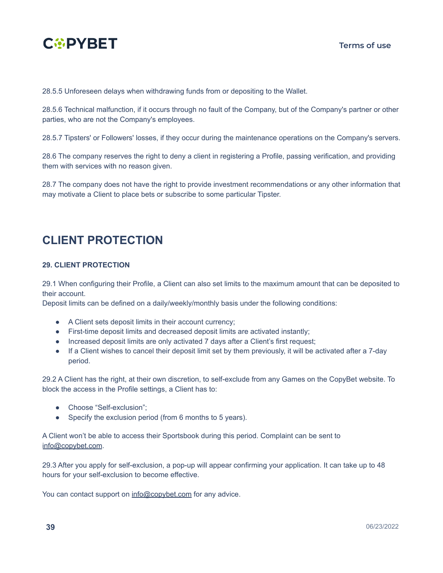

28.5.5 Unforeseen delays when withdrawing funds from or depositing to the Wallet.

28.5.6 Technical malfunction, if it occurs through no fault of the Company, but of the Company's partner or other parties, who are not the Company's employees.

28.5.7 Tipsters' or Followers' losses, if they occur during the maintenance operations on the Company's servers.

28.6 The company reserves the right to deny a client in registering a Profile, passing verification, and providing them with services with no reason given.

28.7 The company does not have the right to provide investment recommendations or any other information that may motivate a Client to place bets or subscribe to some particular Tipster.

### **CLIENT PROTECTION**

#### <span id="page-37-0"></span>**29. CLIENT PROTECTION**

29.1 When configuring their Profile, a Client can also set limits to the maximum amount that can be deposited to their account.

Deposit limits can be defined on a daily/weekly/monthly basis under the following conditions:

- A Client sets deposit limits in their account currency;
- First-time deposit limits and decreased deposit limits are activated instantly;
- Increased deposit limits are only activated 7 days after a Client's first request;
- If a Client wishes to cancel their deposit limit set by them previously, it will be activated after a 7-day period.

29.2 A Client has the right, at their own discretion, to self-exclude from any Games on the CopyBet website. To block the access in the Profile settings, a Client has to:

- Choose "Self-exclusion";
- Specify the exclusion period (from 6 months to 5 years).

A Client won't be able to access their Sportsbook during this period. Complaint can be sent to [info@copybet.com](mailto:info@copybet.com).

29.3 After you apply for self-exclusion, a pop-up will appear confirming your application. It can take up to 48 hours for your self-exclusion to become effective.

You can contact support on [info@copybet.com](mailto:info@copybet.com) for any advice.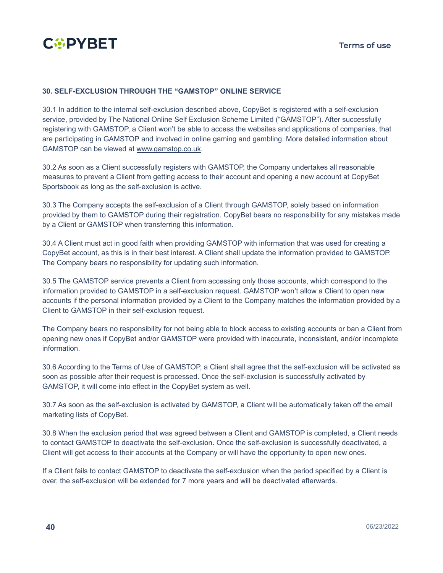

#### **30. SELF-EXCLUSION THROUGH THE "GAMSTOP" ONLINE SERVICE**

30.1 In addition to the internal self-exclusion described above, CopyBet is registered with a self-exclusion service, provided by The National Online Self Exclusion Scheme Limited ("GAMSTOP"). After successfully registering with GAMSTOP, a Client won't be able to access the websites and applications of companies, that are participating in GAMSTOP and involved in online gaming and gambling. More detailed information about GAMSTOP can be viewed at [www.gamstop.co.uk.](http://www.gamstop.co.uk/)

30.2 As soon as a Client successfully registers with GAMSTOP, the Company undertakes all reasonable measures to prevent a Client from getting access to their account and opening a new account at CopyBet Sportsbook as long as the self-exclusion is active.

30.3 The Company accepts the self-exclusion of a Client through GAMSTOP, solely based on information provided by them to GAMSTOP during their registration. CopyBet bears no responsibility for any mistakes made by a Client or GAMSTOP when transferring this information.

30.4 A Client must act in good faith when providing GAMSTOP with information that was used for creating a CopyBet account, as this is in their best interest. A Client shall update the information provided to GAMSTOP. The Company bears no responsibility for updating such information.

30.5 The GAMSTOP service prevents a Client from accessing only those accounts, which correspond to the information provided to GAMSTOP in a self-exclusion request. GAMSTOP won't allow a Client to open new accounts if the personal information provided by a Client to the Company matches the information provided by a Client to GAMSTOP in their self-exclusion request.

The Company bears no responsibility for not being able to block access to existing accounts or ban a Client from opening new ones if CopyBet and/or GAMSTOP were provided with inaccurate, inconsistent, and/or incomplete information.

30.6 According to the Terms of Use of GAMSTOP, a Client shall agree that the self-exclusion will be activated as soon as possible after their request is processed. Once the self-exclusion is successfully activated by GAMSTOP, it will come into effect in the CopyBet system as well.

30.7 As soon as the self-exclusion is activated by GAMSTOP, a Client will be automatically taken off the email marketing lists of CopyBet.

30.8 When the exclusion period that was agreed between a Client and GAMSTOP is completed, a Client needs to contact GAMSTOP to deactivate the self-exclusion. Once the self-exclusion is successfully deactivated, a Client will get access to their accounts at the Company or will have the opportunity to open new ones.

If a Client fails to contact GAMSTOP to deactivate the self-exclusion when the period specified by a Client is over, the self-exclusion will be extended for 7 more years and will be deactivated afterwards.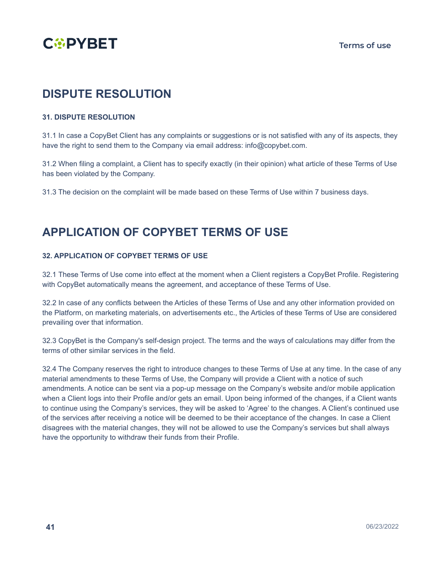

### **DISPUTE RESOLUTION**

#### <span id="page-39-0"></span>**31. DISPUTE RESOLUTION**

31.1 In case a CopyBet Client has any complaints or suggestions or is not satisfied with any of its aspects, they have the right to send them to the Company via email address: info@copybet.com.

31.2 When filing a complaint, a Client has to specify exactly (in their opinion) what article of these Terms of Use has been violated by the Company.

31.3 The decision on the complaint will be made based on these Terms of Use within 7 business days.

### **APPLICATION OF COPYBET TERMS OF USE**

#### <span id="page-39-1"></span>**32. APPLICATION OF COPYBET TERMS OF USE**

32.1 These Terms of Use come into effect at the moment when a Client registers a CopyBet Profile. Registering with CopyBet automatically means the agreement, and acceptance of these Terms of Use.

32.2 In case of any conflicts between the Articles of these Terms of Use and any other information provided on the Platform, on marketing materials, on advertisements etc., the Articles of these Terms of Use are considered prevailing over that information.

32.3 CopyBet is the Company's self-design project. The terms and the ways of calculations may differ from the terms of other similar services in the field.

32.4 The Company reserves the right to introduce changes to these Terms of Use at any time. In the case of any material amendments to these Terms of Use, the Company will provide a Client with a notice of such amendments. A notice can be sent via a pop-up message on the Company's website and/or mobile application when a Client logs into their Profile and/or gets an email. Upon being informed of the changes, if a Client wants to continue using the Company's services, they will be asked to 'Agree' to the changes. A Client's continued use of the services after receiving a notice will be deemed to be their acceptance of the changes. In case a Client disagrees with the material changes, they will not be allowed to use the Company's services but shall always have the opportunity to withdraw their funds from their Profile.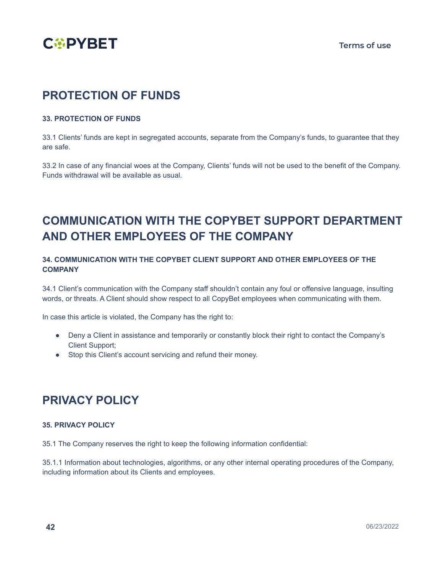

### **PROTECTION OF FUNDS**

#### <span id="page-40-0"></span>**33. PROTECTION OF FUNDS**

33.1 Clients' funds are kept in segregated accounts, separate from the Company's funds, to guarantee that they are safe.

33.2 In case of any financial woes at the Company, Clients' funds will not be used to the benefit of the Company. Funds withdrawal will be available as usual.

### **COMMUNICATION WITH THE COPYBET SUPPORT DEPARTMENT AND OTHER EMPLOYEES OF THE COMPANY**

#### <span id="page-40-1"></span>**34. COMMUNICATION WITH THE COPYBET CLIENT SUPPORT AND OTHER EMPLOYEES OF THE COMPANY**

34.1 Client's communication with the Company staff shouldn't contain any foul or offensive language, insulting words, or threats. A Client should show respect to all CopyBet employees when communicating with them.

In case this article is violated, the Company has the right to:

- Deny a Client in assistance and temporarily or constantly block their right to contact the Company's Client Support;
- Stop this Client's account servicing and refund their money.

### **PRIVACY POLICY**

#### <span id="page-40-2"></span>**35. PRIVACY POLICY**

35.1 The Company reserves the right to keep the following information confidential:

35.1.1 Information about technologies, algorithms, or any other internal operating procedures of the Company, including information about its Clients and employees.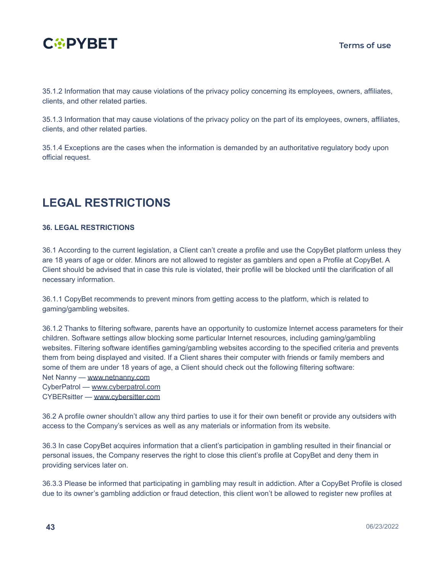

35.1.2 Information that may cause violations of the privacy policy concerning its employees, owners, affiliates, clients, and other related parties.

35.1.3 Information that may cause violations of the privacy policy on the part of its employees, owners, affiliates, clients, and other related parties.

35.1.4 Exceptions are the cases when the information is demanded by an authoritative regulatory body upon official request.

### **LEGAL RESTRICTIONS**

#### <span id="page-41-0"></span>**36. LEGAL RESTRICTIONS**

36.1 According to the current legislation, a Client can't create a profile and use the CopyBet platform unless they are 18 years of age or older. Minors are not allowed to register as gamblers and open a Profile at CopyBet. A Client should be advised that in case this rule is violated, their profile will be blocked until the clarification of all necessary information.

36.1.1 CopyBet recommends to prevent minors from getting access to the platform, which is related to gaming/gambling websites.

36.1.2 Thanks to filtering software, parents have an opportunity to customize Internet access parameters for their children. Software settings allow blocking some particular Internet resources, including gaming/gambling websites. Filtering software identifies gaming/gambling websites according to the specified criteria and prevents them from being displayed and visited. If a Client shares their computer with friends or family members and some of them are under 18 years of age, a Client should check out the following filtering software: Net Nanny — [www.netnanny.com](https://www.netnanny.com/) CyberPatrol — [www.cyberpatrol.com](https://www.cyberpatrol.com/)

CYBERsitter — [www.cybersitter.com](http://www.cybersitter.com/)

36.2 A profile owner shouldn't allow any third parties to use it for their own benefit or provide any outsiders with access to the Company's services as well as any materials or information from its website.

36.3 In case CopyBet acquires information that a client's participation in gambling resulted in their financial or personal issues, the Company reserves the right to close this client's profile at CopyBet and deny them in providing services later on.

36.3.3 Please be informed that participating in gambling may result in addiction. After a CopyBet Profile is closed due to its owner's gambling addiction or fraud detection, this client won't be allowed to register new profiles at